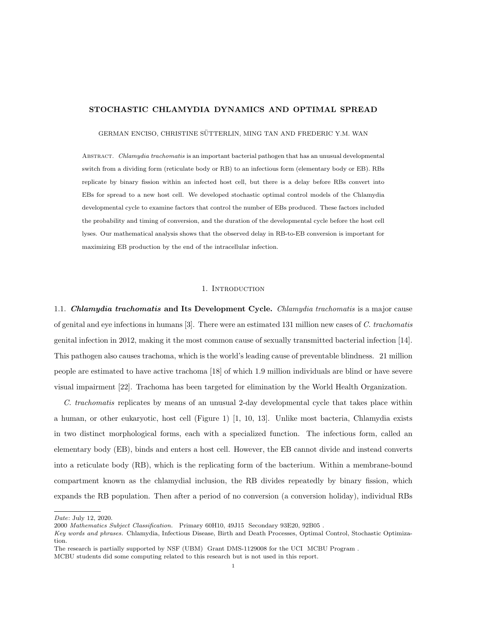#### STOCHASTIC CHLAMYDIA DYNAMICS AND OPTIMAL SPREAD

#### GERMAN ENCISO, CHRISTINE SÜTTERLIN, MING TAN AND FREDERIC Y.M. WAN

Abstract. Chlamydia trachomatis is an important bacterial pathogen that has an unusual developmental switch from a dividing form (reticulate body or RB) to an infectious form (elementary body or EB). RBs replicate by binary fission within an infected host cell, but there is a delay before RBs convert into EBs for spread to a new host cell. We developed stochastic optimal control models of the Chlamydia developmental cycle to examine factors that control the number of EBs produced. These factors included the probability and timing of conversion, and the duration of the developmental cycle before the host cell lyses. Our mathematical analysis shows that the observed delay in RB-to-EB conversion is important for maximizing EB production by the end of the intracellular infection.

#### 1. INTRODUCTION

1.1. Chlamydia trachomatis and Its Development Cycle. Chlamydia trachomatis is a major cause of genital and eye infections in humans [3]. There were an estimated 131 million new cases of C. trachomatis genital infection in 2012, making it the most common cause of sexually transmitted bacterial infection [14]. This pathogen also causes trachoma, which is the world's leading cause of preventable blindness. 21 million people are estimated to have active trachoma [18] of which 1.9 million individuals are blind or have severe visual impairment [22]. Trachoma has been targeted for elimination by the World Health Organization.

C. trachomatis replicates by means of an unusual 2-day developmental cycle that takes place within a human, or other eukaryotic, host cell (Figure 1) [1, 10, 13]. Unlike most bacteria, Chlamydia exists in two distinct morphological forms, each with a specialized function. The infectious form, called an elementary body (EB), binds and enters a host cell. However, the EB cannot divide and instead converts into a reticulate body (RB), which is the replicating form of the bacterium. Within a membrane-bound compartment known as the chlamydial inclusion, the RB divides repeatedly by binary fission, which expands the RB population. Then after a period of no conversion (a conversion holiday), individual RBs

Date: July 12, 2020.

<sup>2000</sup> Mathematics Subject Classification. Primary 60H10, 49J15 Secondary 93E20, 92B05 .

Key words and phrases. Chlamydia, Infectious Disease, Birth and Death Processes, Optimal Control, Stochastic Optimization.

The research is partially supported by NSF (UBM) Grant DMS-1129008 for the UCI MCBU Program .

MCBU students did some computing related to this research but is not used in this report.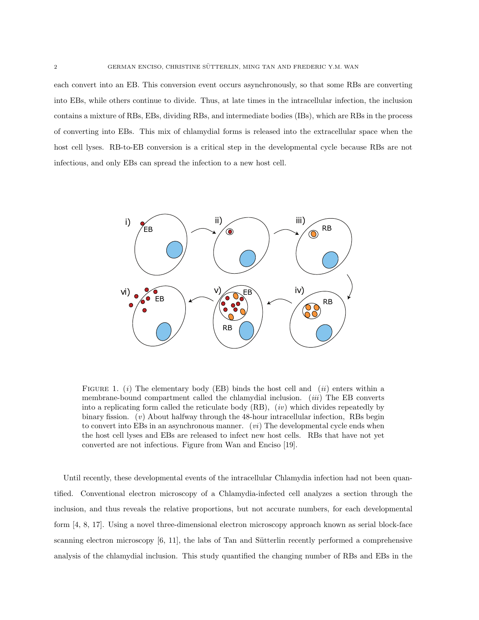each convert into an EB. This conversion event occurs asynchronously, so that some RBs are converting into EBs, while others continue to divide. Thus, at late times in the intracellular infection, the inclusion contains a mixture of RBs, EBs, dividing RBs, and intermediate bodies (IBs), which are RBs in the process of converting into EBs. This mix of chlamydial forms is released into the extracellular space when the host cell lyses. RB-to-EB conversion is a critical step in the developmental cycle because RBs are not infectious, and only EBs can spread the infection to a new host cell.



FIGURE 1. (i) The elementary body (EB) binds the host cell and (ii) enters within a membrane-bound compartment called the chlamydial inclusion. *(iii)* The EB converts into a replicating form called the reticulate body  $(RB)$ ,  $(iv)$  which divides repeatedly by binary fission.  $(v)$  About halfway through the 48-hour intracellular infection, RBs begin to convert into EBs in an asynchronous manner.  $(vi)$  The developmental cycle ends when the host cell lyses and EBs are released to infect new host cells. RBs that have not yet converted are not infectious. Figure from Wan and Enciso [19].

Until recently, these developmental events of the intracellular Chlamydia infection had not been quantified. Conventional electron microscopy of a Chlamydia-infected cell analyzes a section through the inclusion, and thus reveals the relative proportions, but not accurate numbers, for each developmental form [4, 8, 17]. Using a novel three-dimensional electron microscopy approach known as serial block-face scanning electron microscopy  $[6, 11]$ , the labs of Tan and Sütterlin recently performed a comprehensive analysis of the chlamydial inclusion. This study quantified the changing number of RBs and EBs in the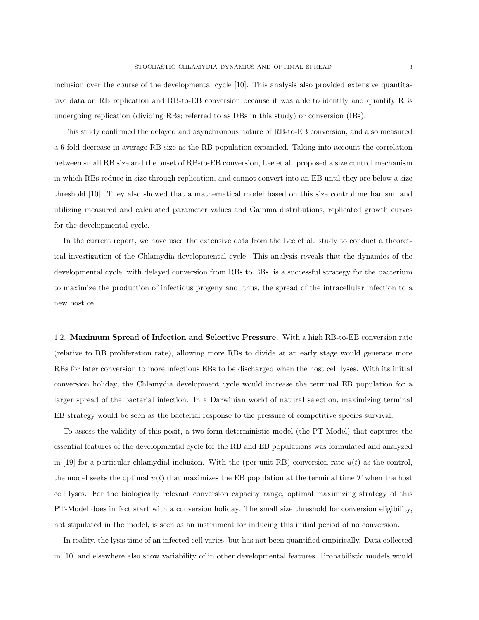inclusion over the course of the developmental cycle [10]. This analysis also provided extensive quantitative data on RB replication and RB-to-EB conversion because it was able to identify and quantify RBs undergoing replication (dividing RBs; referred to as DBs in this study) or conversion (IBs).

This study confirmed the delayed and asynchronous nature of RB-to-EB conversion, and also measured a 6-fold decrease in average RB size as the RB population expanded. Taking into account the correlation between small RB size and the onset of RB-to-EB conversion, Lee et al. proposed a size control mechanism in which RBs reduce in size through replication, and cannot convert into an EB until they are below a size threshold [10]. They also showed that a mathematical model based on this size control mechanism, and utilizing measured and calculated parameter values and Gamma distributions, replicated growth curves for the developmental cycle.

In the current report, we have used the extensive data from the Lee et al. study to conduct a theoretical investigation of the Chlamydia developmental cycle. This analysis reveals that the dynamics of the developmental cycle, with delayed conversion from RBs to EBs, is a successful strategy for the bacterium to maximize the production of infectious progeny and, thus, the spread of the intracellular infection to a new host cell.

1.2. Maximum Spread of Infection and Selective Pressure. With a high RB-to-EB conversion rate (relative to RB proliferation rate), allowing more RBs to divide at an early stage would generate more RBs for later conversion to more infectious EBs to be discharged when the host cell lyses. With its initial conversion holiday, the Chlamydia development cycle would increase the terminal EB population for a larger spread of the bacterial infection. In a Darwinian world of natural selection, maximizing terminal EB strategy would be seen as the bacterial response to the pressure of competitive species survival.

To assess the validity of this posit, a two-form deterministic model (the PT-Model) that captures the essential features of the developmental cycle for the RB and EB populations was formulated and analyzed in [19] for a particular chlamydial inclusion. With the (per unit RB) conversion rate  $u(t)$  as the control, the model seeks the optimal  $u(t)$  that maximizes the EB population at the terminal time T when the host cell lyses. For the biologically relevant conversion capacity range, optimal maximizing strategy of this PT-Model does in fact start with a conversion holiday. The small size threshold for conversion eligibility, not stipulated in the model, is seen as an instrument for inducing this initial period of no conversion.

In reality, the lysis time of an infected cell varies, but has not been quantified empirically. Data collected in [10] and elsewhere also show variability of in other developmental features. Probabilistic models would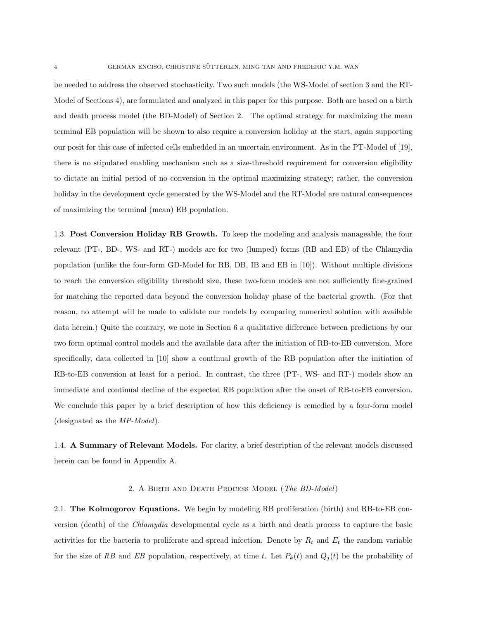be needed to address the observed stochasticity. Two such models (the WS-Model of section 3 and the RT-Model of Sections 4), are formulated and analyzed in this paper for this purpose. Both are based on a birth and death process model (the BD-Model) of Section 2. The optimal strategy for maximizing the mean terminal EB population will be shown to also require a conversion holiday at the start, again supporting our posit for this case of infected cells embedded in an uncertain environment. As in the PT-Model of [19], there is no stipulated enabling mechanism such as a size-threshold requirement for conversion eligibility to dictate an initial period of no conversion in the optimal maximizing strategy; rather, the conversion holiday in the development cycle generated by the WS-Model and the RT-Model are natural consequences of maximizing the terminal (mean) EB population.

1.3. Post Conversion Holiday RB Growth. To keep the modeling and analysis manageable, the four relevant (PT-, BD-, WS- and RT-) models are for two (lumped) forms (RB and EB) of the Chlamydia population (unlike the four-form GD-Model for RB, DB, IB and EB in [10]). Without multiple divisions to reach the conversion eligibility threshold size, these two-form models are not sufficiently fine-grained for matching the reported data beyond the conversion holiday phase of the bacterial growth. (For that reason, no attempt will be made to validate our models by comparing numerical solution with available data herein.) Quite the contrary, we note in Section 6 a qualitative difference between predictions by our two form optimal control models and the available data after the initiation of RB-to-EB conversion. More specifically, data collected in [10] show a continual growth of the RB population after the initiation of RB-to-EB conversion at least for a period. In contrast, the three (PT-, WS- and RT-) models show an immediate and continual decline of the expected RB population after the onset of RB-to-EB conversion. We conclude this paper by a brief description of how this deficiency is remedied by a four-form model (designated as the MP-Model).

1.4. A Summary of Relevant Models. For clarity, a brief description of the relevant models discussed herein can be found in Appendix A.

#### 2. A Birth and Death Process Model (The BD-Model)

2.1. The Kolmogorov Equations. We begin by modeling RB proliferation (birth) and RB-to-EB conversion (death) of the Chlamydia developmental cycle as a birth and death process to capture the basic activities for the bacteria to proliferate and spread infection. Denote by  $R_t$  and  $E_t$  the random variable for the size of RB and EB population, respectively, at time t. Let  $P_k(t)$  and  $Q_j(t)$  be the probability of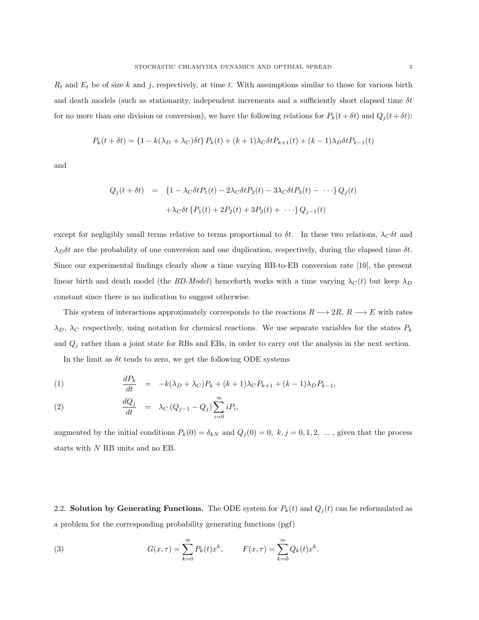$R_t$  and  $E_t$  be of size k and j, respectively, at time t. With assumptions similar to those for various birth and death models (such as stationarity, independent increments and a sufficiently short elapsed time  $\delta t$ for no more than one division or conversion), we have the following relations for  $P_k(t + \delta t)$  and  $Q_j(t + \delta t)$ :

$$
P_k(t + \delta t) = \{1 - k(\lambda_D + \lambda_C)\delta t\} P_k(t) + (k+1)\lambda_C \delta t P_{k+1}(t) + (k-1)\lambda_D \delta t P_{k-1}(t)
$$

and

$$
Q_j(t + \delta t) = \{1 - \lambda_C \delta t P_1(t) - 2\lambda_C \delta t P_2(t) - 3\lambda_C \delta t P_3(t) - \cdots\} Q_j(t)
$$

$$
+ \lambda_C \delta t \{P_1(t) + 2P_2(t) + 3P_3(t) + \cdots\} Q_{j-1}(t)
$$

except for negligibly small terms relative to terms proportional to  $\delta t$ . In these two relations,  $\lambda_C \delta t$  and  $\lambda_D \delta t$  are the probability of one conversion and one duplication, respectively, during the elapsed time  $\delta t$ . Since our experimental findings clearly show a time varying RB-to-EB conversion rate [10], the present linear birth and death model (the BD-Model) henceforth works with a time varying  $\lambda_C(t)$  but keep  $\lambda_D$ constant since there is no indication to suggest otherwise.

This system of interactions approximately corresponds to the reactions  $R \longrightarrow 2R$ ,  $R \longrightarrow E$  with rates  $\lambda_D$ ,  $\lambda_C$  respectively, using notation for chemical reactions. We use separate variables for the states  $P_k$ and  $Q_j$  rather than a joint state for RBs and EBs, in order to carry out the analysis in the next section.

In the limit as  $\delta t$  tends to zero, we get the following ODE systems

(1) 
$$
\frac{dP_k}{dt} = -k(\lambda_D + \lambda_C)P_k + (k+1)\lambda_C P_{k+1} + (k-1)\lambda_D P_{k-1},
$$

(2) 
$$
\frac{dQ_j}{dt} = \lambda_C (Q_{j-1} - Q_j) \sum_{i=0}^{\infty} i P_i,
$$

augmented by the initial conditions  $P_k(0) = \delta_{kN}$  and  $Q_j(0) = 0, k, j = 0, 1, 2, \dots$ , given that the process starts with N RB units and no EB.

2.2. Solution by Generating Functions. The ODE system for  $P_k(t)$  and  $Q_j(t)$  can be reformulated as a problem for the corresponding probability generating functions (pgf)

(3) 
$$
G(x,\tau) = \sum_{k=0}^{\infty} P_k(t) x^k, \qquad F(x,\tau) = \sum_{k=0}^{\infty} Q_k(t) x^k.
$$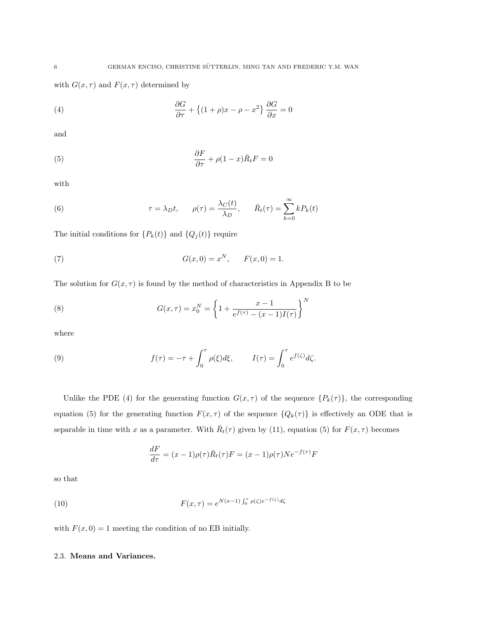with  $G(x, \tau)$  and  $F(x, \tau)$  determined by

(4) 
$$
\frac{\partial G}{\partial \tau} + \left\{ (1+\rho)x - \rho - x^2 \right\} \frac{\partial G}{\partial x} = 0
$$

and

(5) 
$$
\frac{\partial F}{\partial \tau} + \rho (1 - x) \bar{R}_t F = 0
$$

with

(6) 
$$
\tau = \lambda_D t, \qquad \rho(\tau) = \frac{\lambda_C(t)}{\lambda_D}, \qquad \bar{R}_t(\tau) = \sum_{k=0}^{\infty} k P_k(t)
$$

The initial conditions for  $\{P_k(t)\}$  and  $\{Q_j(t)\}$  require

(7) 
$$
G(x,0) = x^N, \qquad F(x,0) = 1.
$$

The solution for  $G(x, \tau)$  is found by the method of characteristics in Appendix B to be

(8) 
$$
G(x,\tau) = x_0^N = \left\{ 1 + \frac{x-1}{e^{f(\tau)} - (x-1)I(\tau)} \right\}^N
$$

where

(9) 
$$
f(\tau) = -\tau + \int_0^{\tau} \rho(\xi) d\xi, \qquad I(\tau) = \int_0^{\tau} e^{f(\zeta)} d\zeta.
$$

Unlike the PDE (4) for the generating function  $G(x, \tau)$  of the sequence  $\{P_k(\tau)\}\$ , the corresponding equation (5) for the generating function  $F(x, \tau)$  of the sequence  $\{Q_k(\tau)\}\$ is effectively an ODE that is separable in time with x as a parameter. With  $\bar{R}_t(\tau)$  given by (11), equation (5) for  $F(x, \tau)$  becomes

$$
\frac{dF}{d\tau} = (x-1)\rho(\tau)\bar{R}_t(\tau)F = (x-1)\rho(\tau)Ne^{-f(\tau)}F
$$

so that

(10) 
$$
F(x,\tau) = e^{N(x-1)\int_0^{\tau} \rho(\zeta) e^{-f(\zeta)} d\zeta}
$$

with  $F(x, 0) = 1$  meeting the condition of no EB initially.

#### 2.3. Means and Variances.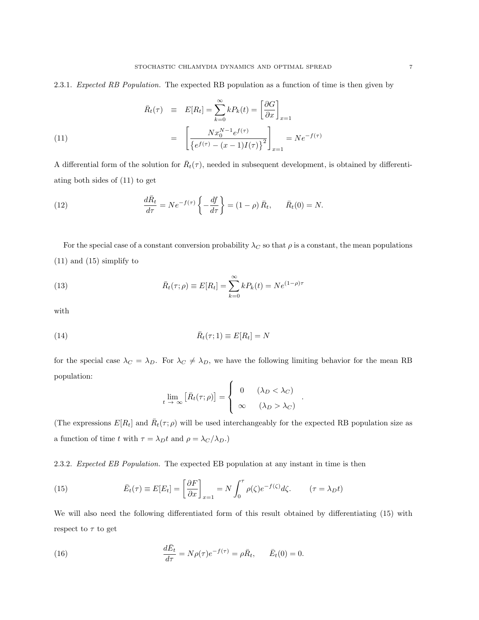2.3.1. Expected RB Population. The expected RB population as a function of time is then given by

(11)  
\n
$$
\bar{R}_t(\tau) \equiv E[R_t] = \sum_{k=0}^{\infty} k P_k(t) = \left[\frac{\partial G}{\partial x}\right]_{x=1}
$$
\n
$$
= \left[\frac{N x_0^{N-1} e^{f(\tau)}}{\left\{e^{f(\tau)} - (x-1)I(\tau)\right\}^2}\right]_{x=1} = N e^{-f(\tau)}
$$

A differential form of the solution for  $\bar{R}_t(\tau)$ , needed in subsequent development, is obtained by differentiating both sides of (11) to get

(12) 
$$
\frac{d\bar{R}_t}{d\tau} = Ne^{-f(\tau)}\left\{-\frac{df}{d\tau}\right\} = (1-\rho)\,\bar{R}_t, \qquad \bar{R}_t(0) = N.
$$

For the special case of a constant conversion probability  $\lambda_C$  so that  $\rho$  is a constant, the mean populations (11) and (15) simplify to

(13) 
$$
\bar{R}_t(\tau;\rho) \equiv E[R_t] = \sum_{k=0}^{\infty} k P_k(t) = N e^{(1-\rho)\tau}
$$

with

(14) 
$$
\bar{R}_t(\tau; 1) \equiv E[R_t] = N
$$

for the special case  $\lambda_C = \lambda_D$ . For  $\lambda_C \neq \lambda_D$ , we have the following limiting behavior for the mean RB population:

$$
\lim_{t \to \infty} \left[ \bar{R}_t(\tau; \rho) \right] = \begin{cases} 0 & (\lambda_D < \lambda_C) \\ \infty & (\lambda_D > \lambda_C) \end{cases}
$$

.

(The expressions  $E[R_t]$  and  $\bar{R}_t(\tau;\rho)$  will be used interchangeably for the expected RB population size as a function of time  $t$  with  $\tau = \lambda_D t$  and  $\rho = \lambda_C / \lambda_D$ .)

2.3.2. Expected EB Population. The expected EB population at any instant in time is then

(15) 
$$
\bar{E}_t(\tau) \equiv E[E_t] = \left[\frac{\partial F}{\partial x}\right]_{x=1} = N \int_0^{\tau} \rho(\zeta) e^{-f(\zeta)} d\zeta. \qquad (\tau = \lambda_D t)
$$

We will also need the following differentiated form of this result obtained by differentiating (15) with respect to  $\tau$  to get

(16) 
$$
\frac{d\bar{E}_t}{d\tau} = N\rho(\tau)e^{-f(\tau)} = \rho\bar{R}_t, \quad \bar{E}_t(0) = 0.
$$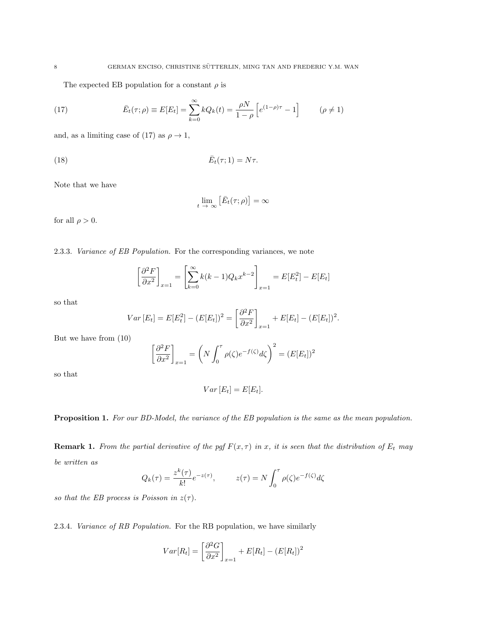The expected EB population for a constant  $\rho$  is

(17) 
$$
\bar{E}_t(\tau;\rho) \equiv E[E_t] = \sum_{k=0}^{\infty} k Q_k(t) = \frac{\rho N}{1-\rho} \left[ e^{(1-\rho)\tau} - 1 \right] \qquad (\rho \neq 1)
$$

and, as a limiting case of (17) as  $\rho \to 1$ ,

$$
\bar{E}_t(\tau; 1) = N\tau.
$$

Note that we have

$$
\lim_{t \to \infty} \left[ \bar{E}_t(\tau; \rho) \right] = \infty
$$

for all  $\rho > 0$ .

2.3.3. Variance of EB Population. For the corresponding variances, we note

$$
\left[\frac{\partial^2 F}{\partial x^2}\right]_{x=1} = \left[\sum_{k=0}^{\infty} k(k-1)Q_k x^{k-2}\right]_{x=1} = E[E_t^2] - E[E_t]
$$

so that

$$
Var\left[E_t\right] = E[E_t^2] - (E[E_t])^2 = \left[\frac{\partial^2 F}{\partial x^2}\right]_{x=1} + E[E_t] - (E[E_t])^2.
$$

But we have from (10)

$$
\left[\frac{\partial^2 F}{\partial x^2}\right]_{x=1} = \left(N \int_0^{\tau} \rho(\zeta) e^{-f(\zeta)} d\zeta\right)^2 = (E[E_t])^2
$$

so that

$$
Var\left[E_t\right] = E[E_t].
$$

Proposition 1. For our BD-Model, the variance of the EB population is the same as the mean population.

**Remark 1.** From the partial derivative of the pgf  $F(x, \tau)$  in x, it is seen that the distribution of  $E_t$  may be written as

$$
Q_k(\tau) = \frac{z^k(\tau)}{k!} e^{-z(\tau)}, \qquad z(\tau) = N \int_0^{\tau} \rho(\zeta) e^{-f(\zeta)} d\zeta
$$

so that the EB process is Poisson in  $z(\tau)$ .

2.3.4. Variance of RB Population. For the RB population, we have similarly

$$
Var[R_t] = \left[\frac{\partial^2 G}{\partial x^2}\right]_{x=1} + E[R_t] - (E[R_t])^2
$$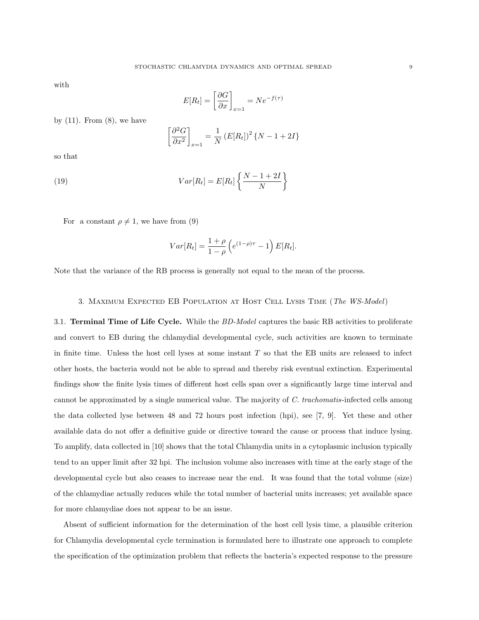with

$$
E[R_t] = \left[\frac{\partial G}{\partial x}\right]_{x=1} = Ne^{-f(\tau)}
$$

by  $(11)$ . From  $(8)$ , we have

$$
\left[\frac{\partial^2 G}{\partial x^2}\right]_{x=1} = \frac{1}{N} \left(E[R_t]\right)^2 \{N - 1 + 2I\}
$$

so that

(19) 
$$
Var[R_t] = E[R_t] \left\{ \frac{N-1+2I}{N} \right\}
$$

For a constant  $\rho \neq 1$ , we have from (9)

$$
Var[R_t] = \frac{1+\rho}{1-\rho} \left( e^{(1-\rho)\tau} - 1 \right) E[R_t].
$$

Note that the variance of the RB process is generally not equal to the mean of the process.

#### 3. Maximum Expected EB Population at Host Cell Lysis Time (The WS-Model)

3.1. Terminal Time of Life Cycle. While the BD-Model captures the basic RB activities to proliferate and convert to EB during the chlamydial developmental cycle, such activities are known to terminate in finite time. Unless the host cell lyses at some instant  $T$  so that the EB units are released to infect other hosts, the bacteria would not be able to spread and thereby risk eventual extinction. Experimental findings show the finite lysis times of different host cells span over a significantly large time interval and cannot be approximated by a single numerical value. The majority of  $C.$  trachomatis-infected cells among the data collected lyse between 48 and 72 hours post infection (hpi), see [7, 9]. Yet these and other available data do not offer a definitive guide or directive toward the cause or process that induce lysing. To amplify, data collected in [10] shows that the total Chlamydia units in a cytoplasmic inclusion typically tend to an upper limit after 32 hpi. The inclusion volume also increases with time at the early stage of the developmental cycle but also ceases to increase near the end. It was found that the total volume (size) of the chlamydiae actually reduces while the total number of bacterial units increases; yet available space for more chlamydiae does not appear to be an issue.

Absent of sufficient information for the determination of the host cell lysis time, a plausible criterion for Chlamydia developmental cycle termination is formulated here to illustrate one approach to complete the specification of the optimization problem that reflects the bacteria's expected response to the pressure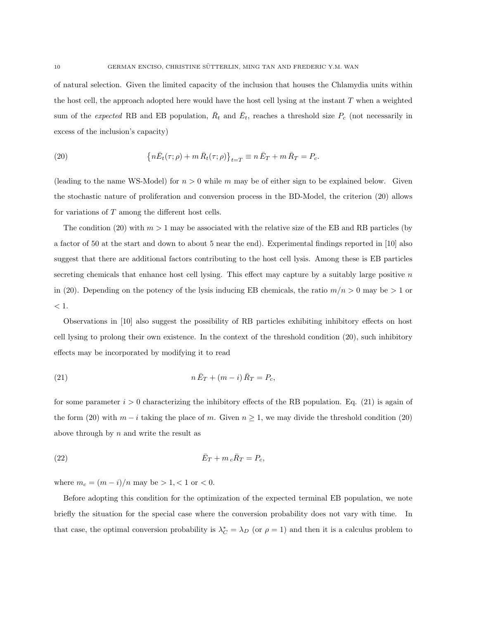of natural selection. Given the limited capacity of the inclusion that houses the Chlamydia units within the host cell, the approach adopted here would have the host cell lysing at the instant  $T$  when a weighted sum of the *expected* RB and EB population,  $\bar{R}_t$  and  $\bar{E}_t$ , reaches a threshold size  $P_c$  (not necessarily in excess of the inclusion's capacity)

(20) 
$$
\left\{ n\bar{E}_t(\tau;\rho)+m\,\bar{R}_t(\tau;\rho) \right\}_{t=T} \equiv n\,\bar{E}_T+m\,\bar{R}_T=P_c.
$$

(leading to the name WS-Model) for  $n > 0$  while m may be of either sign to be explained below. Given the stochastic nature of proliferation and conversion process in the BD-Model, the criterion (20) allows for variations of T among the different host cells.

The condition (20) with  $m > 1$  may be associated with the relative size of the EB and RB particles (by a factor of 50 at the start and down to about 5 near the end). Experimental findings reported in [10] also suggest that there are additional factors contributing to the host cell lysis. Among these is EB particles secreting chemicals that enhance host cell lysing. This effect may capture by a suitably large positive  $n$ in (20). Depending on the potency of the lysis inducing EB chemicals, the ratio  $m/n > 0$  may be  $> 1$  or  $< 1$ .

Observations in [10] also suggest the possibility of RB particles exhibiting inhibitory effects on host cell lysing to prolong their own existence. In the context of the threshold condition (20), such inhibitory effects may be incorporated by modifying it to read

$$
(21) \t\t\t n\overline{E}_T + (m-i)\overline{R}_T = P_c,
$$

for some parameter  $i > 0$  characterizing the inhibitory effects of the RB population. Eq. (21) is again of the form (20) with  $m - i$  taking the place of m. Given  $n \geq 1$ , we may divide the threshold condition (20) above through by  $n$  and write the result as

$$
\bar{E}_T + m_c \bar{R}_T = P_c,
$$

where  $m_c = (m - i)/n$  may be > 1, < 1 or < 0.

Before adopting this condition for the optimization of the expected terminal EB population, we note briefly the situation for the special case where the conversion probability does not vary with time. In that case, the optimal conversion probability is  $\lambda_C^* = \lambda_D$  (or  $\rho = 1$ ) and then it is a calculus problem to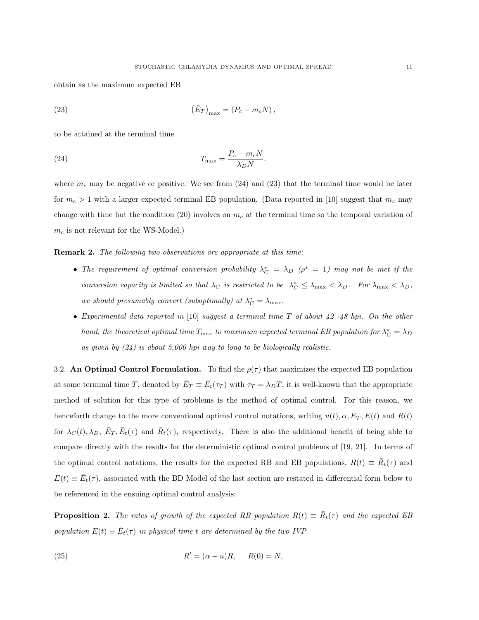obtain as the maximum expected EB

(23) 
$$
(\bar{E}_T)_{\text{max}} = (P_c - m_c N),
$$

to be attained at the terminal time

(24) 
$$
T_{\text{max}} = \frac{P_c - m_c N}{\lambda_D N}.
$$

where  $m_c$  may be negative or positive. We see from (24) and (23) that the terminal time would be later for  $m_c > 1$  with a larger expected terminal EB population. (Data reported in [10] suggest that  $m_c$  may change with time but the condition (20) involves on  $m_c$  at the terminal time so the temporal variation of  $m_c$  is not relevant for the WS-Model.)

**Remark 2.** The following two observations are appropriate at this time:

- The requirement of optimal conversion probability  $\lambda_C^* = \lambda_D$  ( $\rho^* = 1$ ) may not be met if the conversion capacity is limited so that  $\lambda_C$  is restricted to be  $\lambda_C^* \leq \lambda_{\max} < \lambda_D$ . For  $\lambda_{\max} < \lambda_D$ , we should presumably convert (suboptimally) at  $\lambda_C^* = \lambda_{\max}$ .
- Experimental data reported in [10] suggest a terminal time T of about 42 -48 hpi. On the other hand, the theoretical optimal time  $T_{\text{max}}$  to maximum expected terminal EB population for  $\lambda_C^* = \lambda_D$ as given by  $(24)$  is about 5,000 hpi way to long to be biologically realistic.

3.2. An Optimal Control Formulation. To find the  $\rho(\tau)$  that maximizes the expected EB population at some terminal time T, denoted by  $\bar{E}_T \equiv \bar{E}_t(\tau_T)$  with  $\tau_T = \lambda_D T$ , it is well-known that the appropriate method of solution for this type of problems is the method of optimal control. For this reason, we henceforth change to the more conventional optimal control notations, writing  $u(t)$ ,  $\alpha$ ,  $E_T$ ,  $E(t)$  and  $R(t)$ for  $\lambda_C(t), \lambda_D, \bar{E}_T, \bar{E}_t(\tau)$  and  $\bar{R}_t(\tau)$ , respectively. There is also the additional benefit of being able to compare directly with the results for the deterministic optimal control problems of [19, 21]. In terms of the optimal control notations, the results for the expected RB and EB populations,  $R(t) \equiv \overline{R}_t(\tau)$  and  $E(t) \equiv \bar{E}_t(\tau)$ , associated with the BD Model of the last section are restated in differential form below to be referenced in the ensuing optimal control analysis:

**Proposition 2.** The rates of growth of the expected RB population  $R(t) \equiv \overline{R}_t(\tau)$  and the expected EB population  $E(t) \equiv \bar{E}_t(\tau)$  in physical time t are determined by the two IVP

(25) 
$$
R' = (\alpha - u)R, \quad R(0) = N,
$$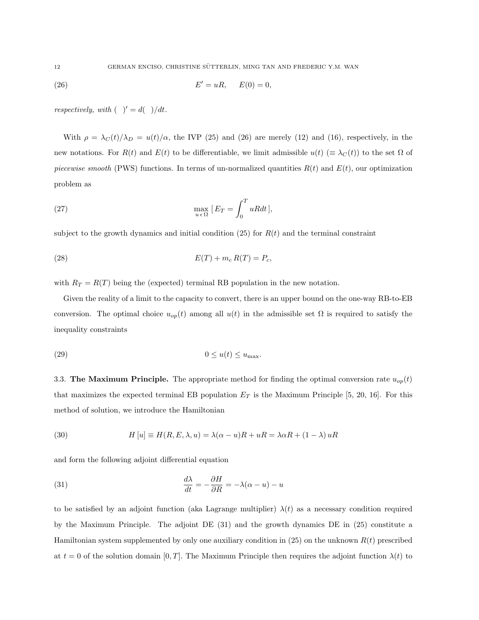$$
(26) \t\t\t E'=uR, \t\t E(0)=0,
$$

respectively, with  $( )' = d( )/dt$ .

With  $\rho = \lambda_C(t)/\lambda_D = u(t)/\alpha$ , the IVP (25) and (26) are merely (12) and (16), respectively, in the new notations. For  $R(t)$  and  $E(t)$  to be differentiable, we limit admissible  $u(t)$  ( $\equiv \lambda_C(t)$ ) to the set  $\Omega$  of piecewise smooth (PWS) functions. In terms of un-normalized quantities  $R(t)$  and  $E(t)$ , our optimization problem as

(27) 
$$
\max_{u \in \Omega} [E_T = \int_0^T uRdt],
$$

subject to the growth dynamics and initial condition (25) for  $R(t)$  and the terminal constraint

$$
E(T) + m_c R(T) = P_c,
$$

with  $R_T = R(T)$  being the (expected) terminal RB population in the new notation.

Given the reality of a limit to the capacity to convert, there is an upper bound on the one-way RB-to-EB conversion. The optimal choice  $u_{op}(t)$  among all  $u(t)$  in the admissible set  $\Omega$  is required to satisfy the inequality constraints

$$
(29) \t\t\t 0 \le u(t) \le u_{\text{max}}.
$$

3.3. The Maximum Principle. The appropriate method for finding the optimal conversion rate  $u_{op}(t)$ that maximizes the expected terminal EB population  $E_T$  is the Maximum Principle [5, 20, 16]. For this method of solution, we introduce the Hamiltonian

(30) 
$$
H[u] \equiv H(R, E, \lambda, u) = \lambda(\alpha - u)R + uR = \lambda\alpha R + (1 - \lambda)uR
$$

and form the following adjoint differential equation

(31) 
$$
\frac{d\lambda}{dt} = -\frac{\partial H}{\partial R} = -\lambda(\alpha - u) - u
$$

to be satisfied by an adjoint function (aka Lagrange multiplier)  $\lambda(t)$  as a necessary condition required by the Maximum Principle. The adjoint DE (31) and the growth dynamics DE in (25) constitute a Hamiltonian system supplemented by only one auxiliary condition in  $(25)$  on the unknown  $R(t)$  prescribed at  $t = 0$  of the solution domain [0, T]. The Maximum Principle then requires the adjoint function  $\lambda(t)$  to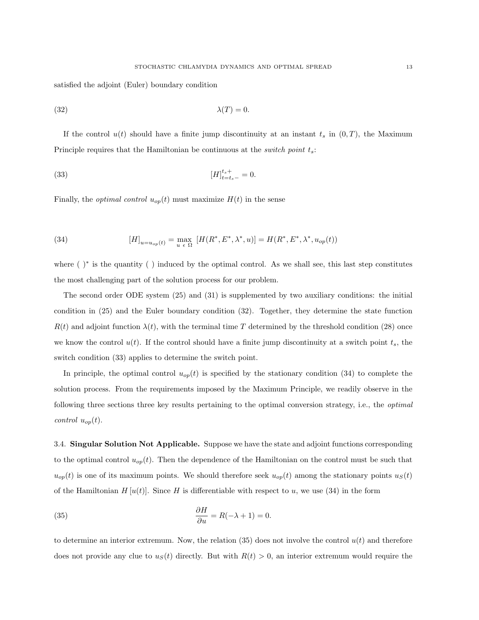satisfied the adjoint (Euler) boundary condition

$$
\lambda(T) = 0.
$$

If the control  $u(t)$  should have a finite jump discontinuity at an instant  $t_s$  in  $(0, T)$ , the Maximum Principle requires that the Hamiltonian be continuous at the *switch point*  $t_s$ :

(33) 
$$
[H]_{t=t_s-}^{t_s+} = 0.
$$

Finally, the *optimal control*  $u_{op}(t)$  must maximize  $H(t)$  in the sense

(34) 
$$
[H]_{u=u_{op}(t)} = \max_{u \in \Omega} [H(R^*, E^*, \lambda^*, u)] = H(R^*, E^*, \lambda^*, u_{op}(t))
$$

where ( )<sup>∗</sup> is the quantity ( ) induced by the optimal control. As we shall see, this last step constitutes the most challenging part of the solution process for our problem.

The second order ODE system (25) and (31) is supplemented by two auxiliary conditions: the initial condition in (25) and the Euler boundary condition (32). Together, they determine the state function  $R(t)$  and adjoint function  $\lambda(t)$ , with the terminal time T determined by the threshold condition (28) once we know the control  $u(t)$ . If the control should have a finite jump discontinuity at a switch point  $t_s$ , the switch condition (33) applies to determine the switch point.

In principle, the optimal control  $u_{op}(t)$  is specified by the stationary condition (34) to complete the solution process. From the requirements imposed by the Maximum Principle, we readily observe in the following three sections three key results pertaining to the optimal conversion strategy, i.e., the *optimal* control  $u_{op}(t)$ .

3.4. Singular Solution Not Applicable. Suppose we have the state and adjoint functions corresponding to the optimal control  $u_{op}(t)$ . Then the dependence of the Hamiltonian on the control must be such that  $u_{op}(t)$  is one of its maximum points. We should therefore seek  $u_{op}(t)$  among the stationary points  $u_S(t)$ of the Hamiltonian  $H[u(t)]$ . Since H is differentiable with respect to u, we use (34) in the form

(35) 
$$
\frac{\partial H}{\partial u} = R(-\lambda + 1) = 0.
$$

to determine an interior extremum. Now, the relation  $(35)$  does not involve the control  $u(t)$  and therefore does not provide any clue to  $u<sub>S</sub>(t)$  directly. But with  $R(t) > 0$ , an interior extremum would require the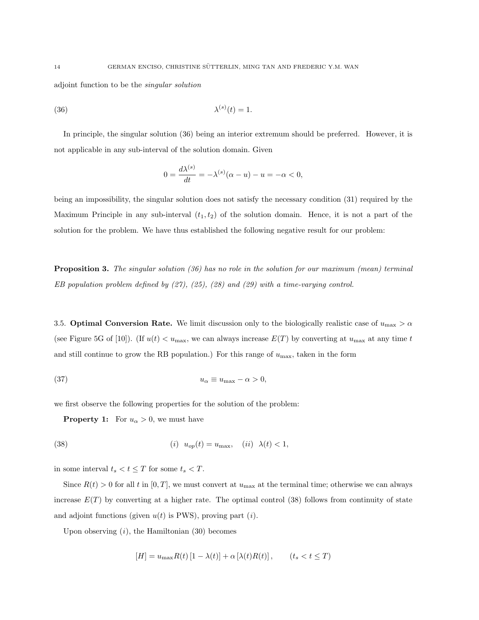adjoint function to be the singular solution

$$
\lambda^{(s)}(t) = 1
$$

In principle, the singular solution (36) being an interior extremum should be preferred. However, it is not applicable in any sub-interval of the solution domain. Given

$$
0 = \frac{d\lambda^{(s)}}{dt} = -\lambda^{(s)}(\alpha - u) - u = -\alpha < 0,
$$

being an impossibility, the singular solution does not satisfy the necessary condition (31) required by the Maximum Principle in any sub-interval  $(t_1, t_2)$  of the solution domain. Hence, it is not a part of the solution for the problem. We have thus established the following negative result for our problem:

**Proposition 3.** The singular solution (36) has no role in the solution for our maximum (mean) terminal EB population problem defined by  $(27)$ ,  $(25)$ ,  $(28)$  and  $(29)$  with a time-varying control.

3.5. **Optimal Conversion Rate.** We limit discussion only to the biologically realistic case of  $u_{\text{max}} > \alpha$ (see Figure 5G of [10]). (If  $u(t) < u_{\text{max}}$ , we can always increase  $E(T)$  by converting at  $u_{\text{max}}$  at any time t and still continue to grow the RB population.) For this range of  $u_{\text{max}}$ , taken in the form

$$
(37) \t\t\t u_{\alpha} \equiv u_{\text{max}} - \alpha > 0,
$$

we first observe the following properties for the solution of the problem:

**Property 1:** For  $u_{\alpha} > 0$ , we must have

(38) 
$$
(i) \quad u_{op}(t) = u_{\text{max}}, \quad (ii) \quad \lambda(t) < 1,
$$

in some interval  $t_s < t \leq T$  for some  $t_s < T$ .

Since  $R(t) > 0$  for all t in [0, T], we must convert at  $u_{\text{max}}$  at the terminal time; otherwise we can always increase  $E(T)$  by converting at a higher rate. The optimal control (38) follows from continuity of state and adjoint functions (given  $u(t)$  is PWS), proving part (*i*).

Upon observing  $(i)$ , the Hamiltonian  $(30)$  becomes

$$
[H] = u_{\text{max}} R(t) [1 - \lambda(t)] + \alpha [\lambda(t) R(t)], \qquad (t_s < t \le T)
$$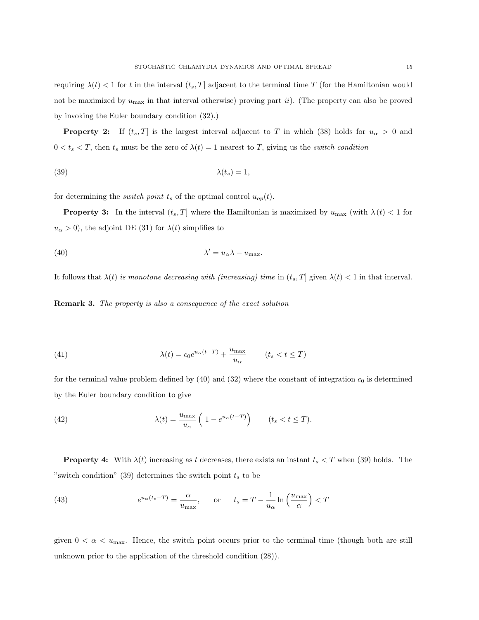**Property 2:** If  $(t_s, T]$  is the largest interval adjacent to T in which (38) holds for  $u_\alpha > 0$  and  $0 < t_s < T$ , then  $t_s$  must be the zero of  $\lambda(t) = 1$  nearest to T, giving us the *switch condition* 

$$
\lambda(t_s) = 1,
$$

for determining the *switch point*  $t_s$  of the optimal control  $u_{op}(t)$ .

**Property 3:** In the interval  $(t_s, T]$  where the Hamiltonian is maximized by  $u_{\text{max}}$  (with  $\lambda(t) < 1$  for  $u_{\alpha} > 0$ , the adjoint DE (31) for  $\lambda(t)$  simplifies to

(40) 
$$
\lambda' = u_{\alpha} \lambda - u_{\text{max}}.
$$

It follows that  $\lambda(t)$  is monotone decreasing with (increasing) time in  $(t_s, T]$  given  $\lambda(t) < 1$  in that interval.

**Remark 3.** The property is also a consequence of the exact solution

(41) 
$$
\lambda(t) = c_0 e^{u_\alpha (t-T)} + \frac{u_{\text{max}}}{u_\alpha} \qquad (t_s < t \le T)
$$

for the terminal value problem defined by  $(40)$  and  $(32)$  where the constant of integration  $c_0$  is determined by the Euler boundary condition to give

(42) 
$$
\lambda(t) = \frac{u_{\max}}{u_{\alpha}} \left( 1 - e^{u_{\alpha}(t-T)} \right) \qquad (t_s < t \le T).
$$

**Property 4:** With  $\lambda(t)$  increasing as t decreases, there exists an instant  $t_s < T$  when (39) holds. The "switch condition" (39) determines the switch point  $t_s$  to be

(43) 
$$
e^{u_{\alpha}(t_s - T)} = \frac{\alpha}{u_{\max}}, \quad \text{or} \quad t_s = T - \frac{1}{u_{\alpha}} \ln\left(\frac{u_{\max}}{\alpha}\right) < T
$$

given  $0 < \alpha < u_{\text{max}}$ . Hence, the switch point occurs prior to the terminal time (though both are still unknown prior to the application of the threshold condition (28)).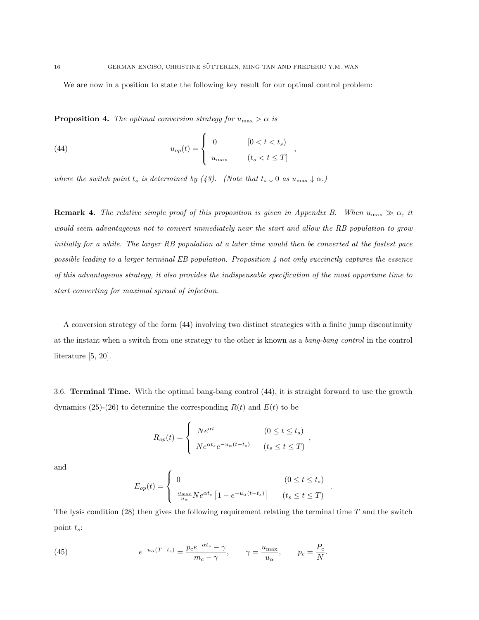,

,

.

We are now in a position to state the following key result for our optimal control problem:

**Proposition 4.** The optimal conversion strategy for  $u_{\text{max}} > \alpha$  is

(44) 
$$
u_{op}(t) = \begin{cases} 0 & [0 < t < t_s) \\ u_{\max} & (t_s < t \le T] \end{cases}
$$

where the switch point  $t_s$  is determined by (43). (Note that  $t_s \downarrow 0$  as  $u_{\text{max}} \downarrow \alpha$ .)

**Remark 4.** The relative simple proof of this proposition is given in Appendix B. When  $u_{\text{max}} \gg \alpha$ , it would seem advantageous not to convert immediately near the start and allow the RB population to grow initially for a while. The larger RB population at a later time would then be converted at the fastest pace possible leading to a larger terminal  $EB$  population. Proposition  $\lambda$  not only succinctly captures the essence of this advantageous strategy, it also provides the indispensable specification of the most opportune time to start converting for maximal spread of infection.

A conversion strategy of the form (44) involving two distinct strategies with a finite jump discontinuity at the instant when a switch from one strategy to the other is known as a bang-bang control in the control literature [5, 20].

3.6. Terminal Time. With the optimal bang-bang control (44), it is straight forward to use the growth dynamics (25)-(26) to determine the corresponding  $R(t)$  and  $E(t)$  to be

$$
R_{op}(t) = \begin{cases} Ne^{\alpha t} & (0 \le t \le t_s) \\ Ne^{\alpha t_s}e^{-u_\alpha(t-t_s)} & (t_s \le t \le T) \end{cases}
$$

and

$$
E_{op}(t) = \begin{cases} 0 & (0 \le t \le t_s) \\ \frac{u_{\max}}{u_{\alpha}} N e^{\alpha t_s} \left[ 1 - e^{-u_{\alpha}(t - t_s)} \right] & (t_s \le t \le T) \end{cases}
$$

The lysis condition  $(28)$  then gives the following requirement relating the terminal time T and the switch point  $t_s$ :

(45) 
$$
e^{-u_{\alpha}(T-t_s)} = \frac{p_c e^{-\alpha t_s} - \gamma}{m_c - \gamma}, \qquad \gamma = \frac{u_{\text{max}}}{u_{\alpha}}, \qquad p_c = \frac{P_c}{N}.
$$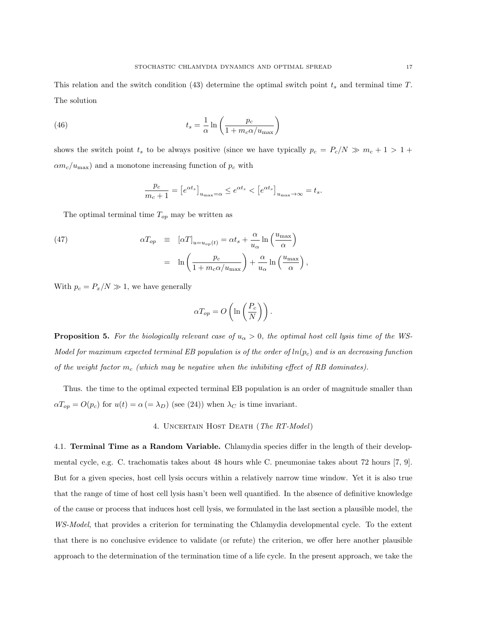This relation and the switch condition (43) determine the optimal switch point  $t_s$  and terminal time  $T$ . The solution

(46) 
$$
t_s = \frac{1}{\alpha} \ln \left( \frac{p_c}{1 + m_c \alpha / u_{\text{max}}} \right)
$$

shows the switch point  $t_s$  to be always positive (since we have typically  $p_c = P_c/N \gg m_c + 1 > 1 +$  $\alpha m_c/u_{\text{max}}$ ) and a monotone increasing function of  $p_c$  with

$$
\frac{p_c}{m_c+1} = \left[e^{\alpha t_s}\right]_{u_{\text{max}}=\alpha} \le e^{\alpha t_s} < \left[e^{\alpha t_s}\right]_{u_{\text{max}}\to\infty} = t_s.
$$

The optimal terminal time  $T_{op}$  may be written as

(47) 
$$
\alpha T_{op} \equiv [\alpha T]_{u=u_{op}(t)} = \alpha t_s + \frac{\alpha}{u_{\alpha}} \ln\left(\frac{u_{\max}}{\alpha}\right)
$$

$$
= \ln\left(\frac{p_c}{1 + m_c \alpha / u_{\max}}\right) + \frac{\alpha}{u_{\alpha}} \ln\left(\frac{u_{\max}}{\alpha}\right),
$$

With  $p_c = P_x/N \gg 1$ , we have generally

$$
\alpha T_{op} = O\left(\ln\left(\frac{P_c}{N}\right)\right).
$$

**Proposition 5.** For the biologically relevant case of  $u_{\alpha} > 0$ , the optimal host cell lysis time of the WS-Model for maximum expected terminal EB population is of the order of  $ln(p_c)$  and is an decreasing function of the weight factor  $m_c$  (which may be negative when the inhibiting effect of RB dominates).

Thus. the time to the optimal expected terminal EB population is an order of magnitude smaller than  $\alpha T_{op} = O(p_c)$  for  $u(t) = \alpha \left( = \lambda_D \right)$  (see (24)) when  $\lambda_C$  is time invariant.

### 4. Uncertain Host Death (The RT-Model)

4.1. **Terminal Time as a Random Variable.** Chlamydia species differ in the length of their developmental cycle, e.g. C. trachomatis takes about 48 hours whle C. pneumoniae takes about 72 hours [7, 9]. But for a given species, host cell lysis occurs within a relatively narrow time window. Yet it is also true that the range of time of host cell lysis hasn't been well quantified. In the absence of definitive knowledge of the cause or process that induces host cell lysis, we formulated in the last section a plausible model, the WS-Model, that provides a criterion for terminating the Chlamydia developmental cycle. To the extent that there is no conclusive evidence to validate (or refute) the criterion, we offer here another plausible approach to the determination of the termination time of a life cycle. In the present approach, we take the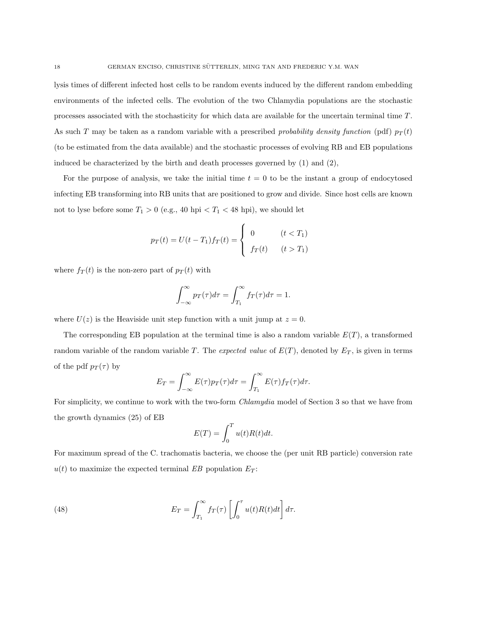lysis times of different infected host cells to be random events induced by the different random embedding environments of the infected cells. The evolution of the two Chlamydia populations are the stochastic processes associated with the stochasticity for which data are available for the uncertain terminal time T. As such T may be taken as a random variable with a prescribed *probability density function* (pdf)  $p_T(t)$ (to be estimated from the data available) and the stochastic processes of evolving RB and EB populations induced be characterized by the birth and death processes governed by  $(1)$  and  $(2)$ ,

For the purpose of analysis, we take the initial time  $t = 0$  to be the instant a group of endocytosed infecting EB transforming into RB units that are positioned to grow and divide. Since host cells are known not to lyse before some  $T_1 > 0$  (e.g., 40 hpi  $T_1 < 48$  hpi), we should let

$$
p_T(t) = U(t - T_1) f_T(t) = \begin{cases} 0 & (t < T_1) \\ f_T(t) & (t > T_1) \end{cases}
$$

where  $f_T(t)$  is the non-zero part of  $p_T(t)$  with

$$
\int_{-\infty}^{\infty} p_T(\tau) d\tau = \int_{T_1}^{\infty} f_T(\tau) d\tau = 1.
$$

where  $U(z)$  is the Heaviside unit step function with a unit jump at  $z = 0$ .

The corresponding EB population at the terminal time is also a random variable  $E(T)$ , a transformed random variable of the random variable T. The expected value of  $E(T)$ , denoted by  $E_T$ , is given in terms of the pdf  $p_T(\tau)$  by

$$
E_T = \int_{-\infty}^{\infty} E(\tau) p_T(\tau) d\tau = \int_{T_1}^{\infty} E(\tau) f_T(\tau) d\tau.
$$

For simplicity, we continue to work with the two-form *Chlamydia* model of Section 3 so that we have from the growth dynamics (25) of EB

$$
E(T) = \int_0^T u(t)R(t)dt.
$$

For maximum spread of the C. trachomatis bacteria, we choose the (per unit RB particle) conversion rate  $u(t)$  to maximize the expected terminal EB population  $E_T$ :

(48) 
$$
E_T = \int_{T_1}^{\infty} f_T(\tau) \left[ \int_0^{\tau} u(t) R(t) dt \right] d\tau.
$$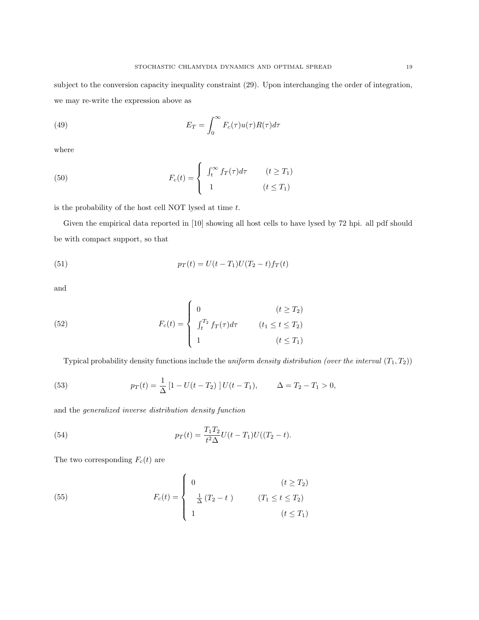subject to the conversion capacity inequality constraint (29). Upon interchanging the order of integration, we may re-write the expression above as

(49) 
$$
E_T = \int_0^\infty F_c(\tau)u(\tau)R(\tau)d\tau
$$

where

(50) 
$$
F_c(t) = \begin{cases} \int_t^{\infty} f_T(\tau) d\tau & (t \ge T_1) \\ 1 & (t \le T_1) \end{cases}
$$

is the probability of the host cell NOT lysed at time  $t$ .

Given the empirical data reported in [10] showing all host cells to have lysed by 72 hpi. all pdf should be with compact support, so that

(51) 
$$
p_T(t) = U(t - T_1)U(T_2 - t)f_T(t)
$$

and

(52) 
$$
F_c(t) = \begin{cases} 0 & (t \ge T_2) \\ \int_t^{T_2} f_T(\tau) d\tau & (t_1 \le t \le T_2) \\ 1 & (t \le T_1) \end{cases}
$$

Typical probability density functions include the uniform density distribution (over the interval  $(T_1, T_2)$ )

(53) 
$$
p_T(t) = \frac{1}{\Delta} \left[ 1 - U(t - T_2) \right] U(t - T_1), \qquad \Delta = T_2 - T_1 > 0,
$$

and the generalized inverse distribution density function

(54) 
$$
p_T(t) = \frac{T_1 T_2}{t^2 \Delta} U(t - T_1) U((T_2 - t).
$$

The two corresponding  ${\cal F}_c(t)$  are

(55) 
$$
F_c(t) = \begin{cases} 0 & (t \ge T_2) \\ \frac{1}{\Delta} (T_2 - t) & (T_1 \le t \le T_2) \\ 1 & (t \le T_1) \end{cases}
$$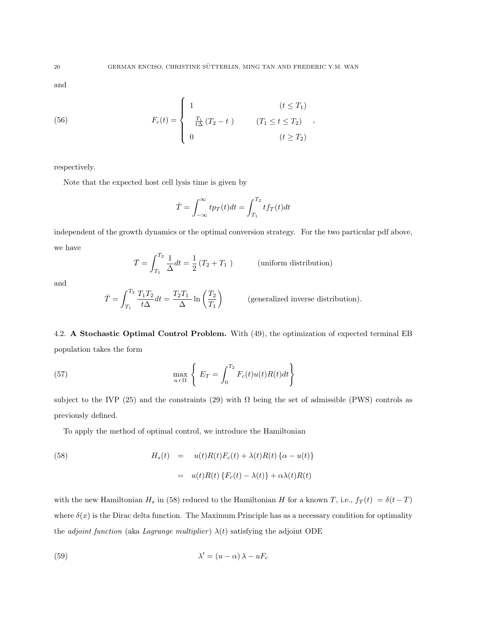and

(56) 
$$
F_c(t) = \begin{cases} 1 & (t \leq T_1) \\ \frac{T_1}{t\Delta}(T_2 - t) & (T_1 \leq t \leq T_2) \\ 0 & (t \geq T_2) \end{cases}
$$

respectively.

Note that the expected host cell lysis time is given by

$$
\bar{T} = \int_{-\infty}^{\infty} t p_T(t) dt = \int_{T_1}^{T_2} t f_T(t) dt
$$

independent of the growth dynamics or the optimal conversion strategy. For the two particular pdf above, we have

$$
\bar{T} = \int_{T_1}^{T_2} \frac{1}{\Delta} dt = \frac{1}{2} (T_2 + T_1)
$$
 (uniform distribution)

and

$$
\bar{T} = \int_{T_1}^{T_2} \frac{T_1 T_2}{t \Delta} dt = \frac{T_2 T_1}{\Delta} \ln \left( \frac{T_2}{T_1} \right)
$$
 (generalized inverse distribution).

4.2. A Stochastic Optimal Control Problem. With (49), the optimization of expected terminal EB population takes the form

(57) 
$$
\max_{u \in \Omega} \left\{ E_T = \int_0^{T_2} F_c(t) u(t) R(t) dt \right\}
$$

subject to the IVP (25) and the constraints (29) with  $\Omega$  being the set of admissible (PWS) controls as previously defined.

To apply the method of optimal control, we introduce the Hamiltonian

(58) 
$$
H_s(t) = u(t)R(t)F_c(t) + \lambda(t)R(t)\{\alpha - u(t)\}
$$

$$
= u(t)R(t)\{F_c(t) - \lambda(t)\} + \alpha\lambda(t)R(t)
$$

with the new Hamiltonian  $H_s$  in (58) reduced to the Hamiltonian H for a known T, i.e.,  $f_T(t) = \delta(t-T)$ where  $\delta(x)$  is the Dirac delta function. The Maximum Principle has as a necessary condition for optimality the *adjoint function* (aka *Lagrange multiplier*)  $\lambda(t)$  satisfying the adjoint ODE

(59) 
$$
\lambda' = (u - \alpha) \lambda - uF_c
$$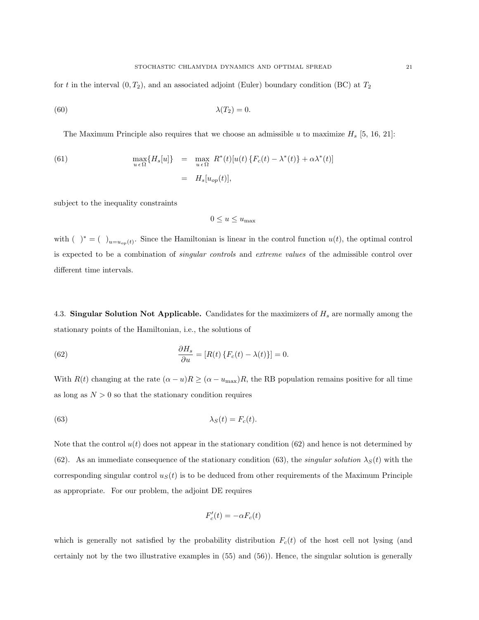for t in the interval  $(0, T_2)$ , and an associated adjoint (Euler) boundary condition (BC) at  $T_2$ 

$$
\lambda(T_2) = 0.
$$

The Maximum Principle also requires that we choose an admissible u to maximize  $H_s$  [5, 16, 21]:

(61) 
$$
\max_{u \in \Omega} \{ H_s[u] \} = \max_{u \in \Omega} R^*(t) [u(t) \{ F_c(t) - \lambda^*(t) \} + \alpha \lambda^*(t) ]
$$

$$
= H_s[u_{op}(t)],
$$

subject to the inequality constraints

$$
0 \le u \le u_{\max}
$$

with ( )<sup>\*</sup> = ( )<sub>u=u<sub>op</sub>(t)</sub>. Since the Hamiltonian is linear in the control function  $u(t)$ , the optimal control is expected to be a combination of *singular controls* and *extreme values* of the admissible control over different time intervals.

4.3. Singular Solution Not Applicable. Candidates for the maximizers of  $H_s$  are normally among the stationary points of the Hamiltonian, i.e., the solutions of

(62) 
$$
\frac{\partial H_s}{\partial u} = [R(t) \{ F_c(t) - \lambda(t) \}] = 0.
$$

With  $R(t)$  changing at the rate  $(\alpha - u)R \ge (\alpha - u_{\text{max}})R$ , the RB population remains positive for all time as long as  $N > 0$  so that the stationary condition requires

(63) 
$$
\lambda_S(t) = F_c(t).
$$

Note that the control  $u(t)$  does not appear in the stationary condition (62) and hence is not determined by (62). As an immediate consequence of the stationary condition (63), the *singular solution*  $\lambda_S(t)$  with the corresponding singular control  $u<sub>S</sub>(t)$  is to be deduced from other requirements of the Maximum Principle as appropriate. For our problem, the adjoint DE requires

$$
F_c'(t) = -\alpha F_c(t)
$$

which is generally not satisfied by the probability distribution  $F_c(t)$  of the host cell not lysing (and certainly not by the two illustrative examples in (55) and (56)). Hence, the singular solution is generally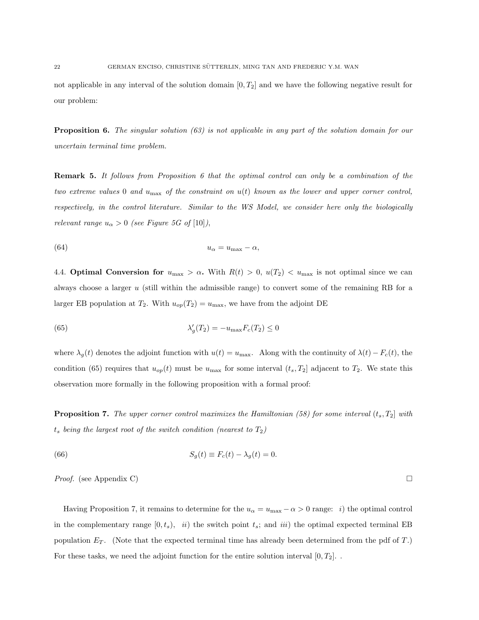not applicable in any interval of the solution domain  $[0, T_2]$  and we have the following negative result for our problem:

**Proposition 6.** The singular solution  $(63)$  is not applicable in any part of the solution domain for our uncertain terminal time problem.

**Remark 5.** It follows from Proposition 6 that the optimal control can only be a combination of the two extreme values 0 and  $u_{\text{max}}$  of the constraint on  $u(t)$  known as the lower and upper corner control, respectively, in the control literature. Similar to the WS Model, we consider here only the biologically relevant range  $u_{\alpha} > 0$  (see Figure 5G of [10]),

$$
(64) \t\t\t u_{\alpha} = u_{\max} - \alpha,
$$

4.4. **Optimal Conversion for**  $u_{\text{max}} > \alpha$ . With  $R(t) > 0$ ,  $u(T_2) < u_{\text{max}}$  is not optimal since we can always choose a larger  $u$  (still within the admissible range) to convert some of the remaining RB for a larger EB population at  $T_2$ . With  $u_{op}(T_2) = u_{max}$ , we have from the adjoint DE

(65) 
$$
\lambda'_g(T_2) = -u_{\text{max}} F_c(T_2) \le 0
$$

where  $\lambda_g(t)$  denotes the adjoint function with  $u(t) = u_{\text{max}}$ . Along with the continuity of  $\lambda(t) - F_c(t)$ , the condition (65) requires that  $u_{op}(t)$  must be  $u_{max}$  for some interval  $(t_s, T_2]$  adjacent to  $T_2$ . We state this observation more formally in the following proposition with a formal proof:

**Proposition 7.** The upper corner control maximizes the Hamiltonian (58) for some interval  $(t_s, T_2]$  with  $t_s$  being the largest root of the switch condition (nearest to  $T_2$ )

(66) 
$$
S_g(t) \equiv F_c(t) - \lambda_g(t) = 0.
$$

*Proof.* (see Appendix C)

Having Proposition 7, it remains to determine for the  $u_{\alpha} = u_{\max} - \alpha > 0$  range: *i*) the optimal control in the complementary range  $[0, t_s)$ , ii) the switch point  $t_s$ ; and iii) the optimal expected terminal EB population  $E_T$ . (Note that the expected terminal time has already been determined from the pdf of  $T$ .) For these tasks, we need the adjoint function for the entire solution interval  $[0, T_2]$ .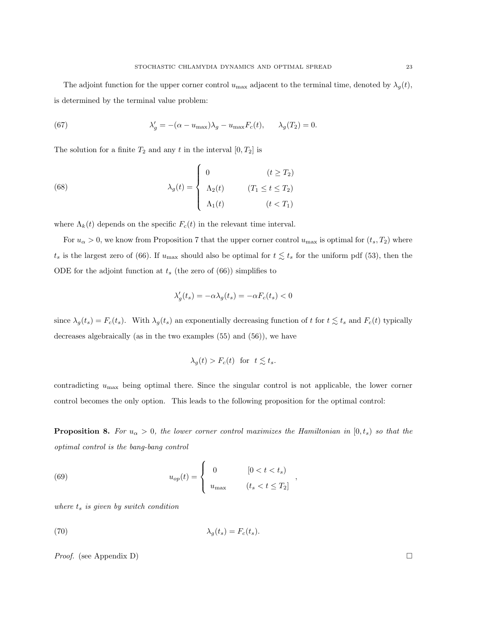The adjoint function for the upper corner control  $u_{\text{max}}$  adjacent to the terminal time, denoted by  $\lambda_g(t)$ , is determined by the terminal value problem:

(67) 
$$
\lambda'_g = -(\alpha - u_{\text{max}})\lambda_g - u_{\text{max}}F_c(t), \qquad \lambda_g(T_2) = 0.
$$

The solution for a finite  $T_2$  and any t in the interval  $[0, T_2]$  is

(68) 
$$
\lambda_g(t) = \begin{cases} 0 & (t \ge T_2) \\ \Lambda_2(t) & (T_1 \le t \le T_2) \\ \Lambda_1(t) & (t < T_1) \end{cases}
$$

where  $\Lambda_k(t)$  depends on the specific  $F_c(t)$  in the relevant time interval.

For  $u_{\alpha} > 0$ , we know from Proposition 7 that the upper corner control  $u_{\max}$  is optimal for  $(t_s, T_2)$  where  $t_s$  is the largest zero of (66). If  $u_{\text{max}}$  should also be optimal for  $t \lesssim t_s$  for the uniform pdf (53), then the ODE for the adjoint function at  $t_s$  (the zero of (66)) simplifies to

$$
\lambda_g'(t_s) = -\alpha \lambda_g(t_s) = -\alpha F_c(t_s) < 0
$$

since  $\lambda_g(t_s) = F_c(t_s)$ . With  $\lambda_g(t_s)$  an exponentially decreasing function of t for  $t \lesssim t_s$  and  $F_c(t)$  typically decreases algebraically (as in the two examples (55) and (56)), we have

$$
\lambda_g(t) > F_c(t) \quad \text{for} \quad t \lesssim t_s.
$$

contradicting  $u_{\text{max}}$  being optimal there. Since the singular control is not applicable, the lower corner control becomes the only option. This leads to the following proposition for the optimal control:

**Proposition 8.** For  $u_{\alpha} > 0$ , the lower corner control maximizes the Hamiltonian in  $[0, t_s)$  so that the optimal control is the bang-bang control

,

(69) 
$$
u_{op}(t) = \begin{cases} 0 & [0 < t < t_s) \\ u_{\max} & (t_s < t \leq T_2] \end{cases}
$$

where  $t_s$  is given by switch condition

(70) 
$$
\lambda_g(t_s) = F_c(t_s).
$$

*Proof.* (see Appendix D)  $\Box$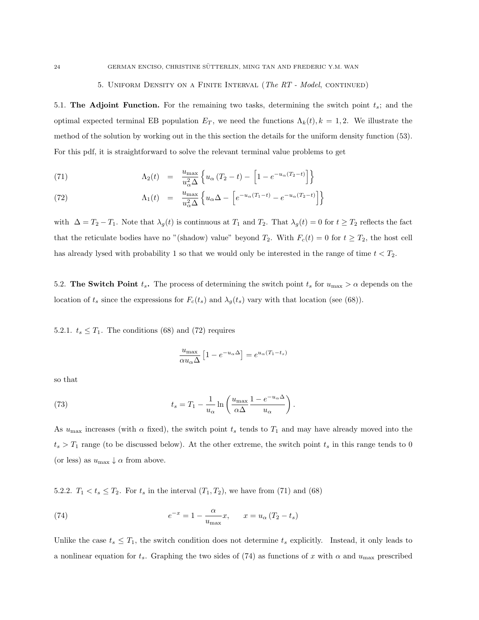#### 5. UNIFORM DENSITY ON A FINITE INTERVAL (The RT - Model, CONTINUED)

5.1. The Adjoint Function. For the remaining two tasks, determining the switch point  $t_s$ ; and the optimal expected terminal EB population  $E_T$ , we need the functions  $\Lambda_k(t)$ ,  $k = 1, 2$ . We illustrate the method of the solution by working out in the this section the details for the uniform density function (53). For this pdf, it is straightforward to solve the relevant terminal value problems to get

(71) 
$$
\Lambda_2(t) = \frac{u_{\text{max}}}{u_{\alpha}^2 \Delta} \left\{ u_{\alpha} (T_2 - t) - \left[ 1 - e^{-u_{\alpha} (T_2 - t)} \right] \right\}
$$

(72) 
$$
\Lambda_1(t) = \frac{u_{\max}}{u_{\alpha}^2 \Delta} \left\{ u_{\alpha} \Delta - \left[ e^{-u_{\alpha}(T_1 - t)} - e^{-u_{\alpha}(T_2 - t)} \right] \right\}
$$

with  $\Delta = T_2 - T_1$ . Note that  $\lambda_g(t)$  is continuous at  $T_1$  and  $T_2$ . That  $\lambda_g(t) = 0$  for  $t \ge T_2$  reflects the fact that the reticulate bodies have no "(shadow) value" beyond  $T_2$ . With  $F_c(t) = 0$  for  $t \geq T_2$ , the host cell has already lysed with probability 1 so that we would only be interested in the range of time  $t < T_2$ .

5.2. The Switch Point  $t_s$ . The process of determining the switch point  $t_s$  for  $u_{\text{max}} > \alpha$  depends on the location of  $t_s$  since the expressions for  $F_c(t_s)$  and  $\lambda_g(t_s)$  vary with that location (see (68)).

5.2.1.  $t_s \leq T_1$ . The conditions (68) and (72) requires

$$
\frac{u_{\max}}{\alpha u_{\alpha} \Delta} \left[ 1 - e^{-u_{\alpha} \Delta} \right] = e^{u_{\alpha} (T_1 - t_s)}
$$

so that

(73) 
$$
t_s = T_1 - \frac{1}{u_\alpha} \ln \left( \frac{u_{\text{max}}}{\alpha \Delta} \frac{1 - e^{-u_\alpha \Delta}}{u_\alpha} \right).
$$

As  $u_{\text{max}}$  increases (with  $\alpha$  fixed), the switch point  $t_s$  tends to  $T_1$  and may have already moved into the  $t_s > T_1$  range (to be discussed below). At the other extreme, the switch point  $t_s$  in this range tends to 0 (or less) as  $u_{\text{max}} \downarrow \alpha$  from above.

5.2.2.  $T_1 < t_s \leq T_2$ . For  $t_s$  in the interval  $(T_1, T_2)$ , we have from (71) and (68)

(74) 
$$
e^{-x} = 1 - \frac{\alpha}{u_{\text{max}}} x, \qquad x = u_{\alpha} (T_2 - t_s)
$$

Unlike the case  $t_s \leq T_1$ , the switch condition does not determine  $t_s$  explicitly. Instead, it only leads to a nonlinear equation for  $t_s$ . Graphing the two sides of (74) as functions of x with  $\alpha$  and  $u_{\text{max}}$  prescribed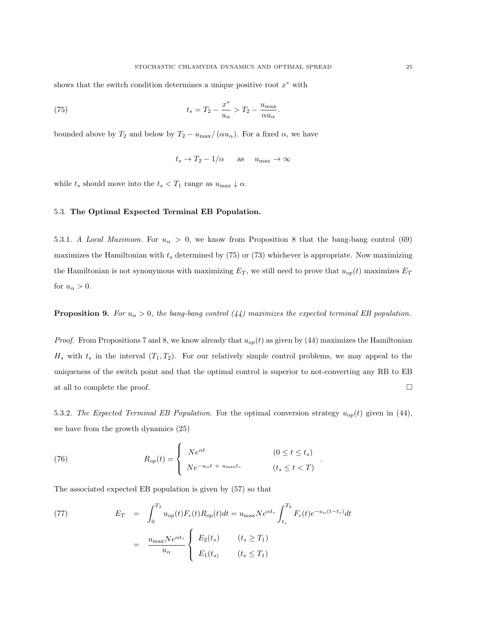shows that the switch condition determines a unique positive root  $x^*$  with

(75) 
$$
t_s = T_2 - \frac{x^*}{u_\alpha} > T_2 - \frac{u_{\text{max}}}{\alpha u_\alpha}.
$$

bounded above by  $T_2$  and below by  $T_2 - u_{\text{max}}/(\alpha u_{\alpha})$ . For a fixed  $\alpha$ , we have

$$
t_s \to T_2 - 1/\alpha
$$
 as  $u_{\text{max}} \to \infty$ 

while  $t_s$  should move into the  $t_s < T_1$  range as  $u_{\text{max}} \downarrow \alpha$ .

## 5.3. The Optimal Expected Terminal EB Population.

5.3.1. A Local Maximum. For  $u_{\alpha} > 0$ , we know from Proposition 8 that the bang-bang control (69) maximizes the Hamiltonian with  $t_s$  determined by (75) or (73) whichever is appropriate. Now maximizing the Hamiltonian is not synonymous with maximizing  $E_T$ , we still need to prove that  $u_{op}(t)$  maximizes  $E_T$ for  $u_{\alpha} > 0$ .

#### **Proposition 9.** For  $u_{\alpha} > 0$ , the bang-bang control (44) maximizes the expected terminal EB population.

*Proof.* From Propositions 7 and 8, we know already that  $u_{op}(t)$  as given by (44) maximizes the Hamiltonian  $H_s$  with  $t_s$  in the interval  $(T_1, T_2)$ . For our relatively simple control problems, we may appeal to the uniqueness of the switch point and that the optimal control is superior to not-converting any RB to EB at all to complete the proof.  $\Box$ 

5.3.2. The Expected Terminal EB Population. For the optimal conversion strategy  $u_{op}(t)$  given in (44), we have from the growth dynamics (25)

.

(76) 
$$
R_{op}(t) = \begin{cases} Ne^{\alpha t} & (0 \le t \le t_s) \\ Ne^{-u_{\alpha}t + u_{\text{max}}t_s} & (t_s \le t < T) \end{cases}
$$

The associated expected EB population is given by (57) so that

(77) 
$$
E_T = \int_0^{T_2} u_{op}(t) F_c(t) R_{op}(t) dt = u_{\text{max}} N e^{\alpha t_s} \int_{t_s}^{T_2} F_c(t) e^{-u_{\alpha}(t-t_s)} dt
$$

$$
= \frac{u_{\text{max}} N e^{\alpha t_s}}{u_{\alpha}} \begin{cases} E_2(t_s) & (t_s \ge T_1) \\ E_1(t_s) & (t_s \le T_1) \end{cases}
$$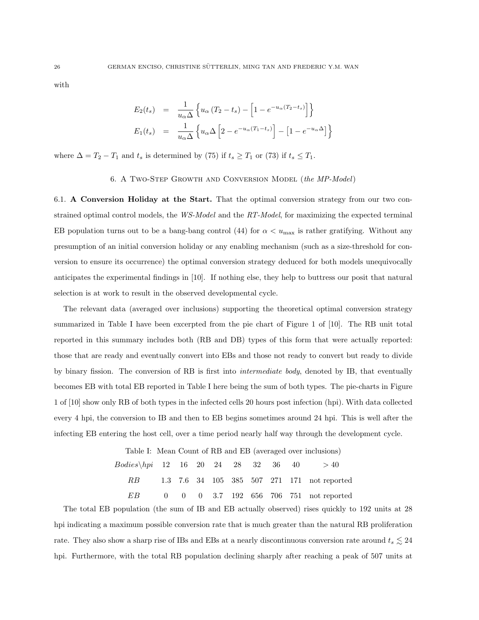with

$$
E_2(t_s) = \frac{1}{u_\alpha \Delta} \left\{ u_\alpha (T_2 - t_s) - \left[ 1 - e^{-u_\alpha (T_2 - t_s)} \right] \right\}
$$
  

$$
E_1(t_s) = \frac{1}{u_\alpha \Delta} \left\{ u_\alpha \Delta \left[ 2 - e^{-u_\alpha (T_1 - t_s)} \right] - \left[ 1 - e^{-u_\alpha \Delta} \right] \right\}
$$

where  $\Delta = T_2 - T_1$  and  $t_s$  is determined by (75) if  $t_s \geq T_1$  or (73) if  $t_s \leq T_1$ .

#### 6. A Two-Step Growth and Conversion Model (the MP-Model)

6.1. A Conversion Holiday at the Start. That the optimal conversion strategy from our two constrained optimal control models, the WS-Model and the RT-Model, for maximizing the expected terminal EB population turns out to be a bang-bang control (44) for  $\alpha < u_{\text{max}}$  is rather gratifying. Without any presumption of an initial conversion holiday or any enabling mechanism (such as a size-threshold for conversion to ensure its occurrence) the optimal conversion strategy deduced for both models unequivocally anticipates the experimental findings in [10]. If nothing else, they help to buttress our posit that natural selection is at work to result in the observed developmental cycle.

The relevant data (averaged over inclusions) supporting the theoretical optimal conversion strategy summarized in Table I have been excerpted from the pie chart of Figure 1 of [10]. The RB unit total reported in this summary includes both (RB and DB) types of this form that were actually reported: those that are ready and eventually convert into EBs and those not ready to convert but ready to divide by binary fission. The conversion of RB is first into *intermediate body*, denoted by IB, that eventually becomes EB with total EB reported in Table I here being the sum of both types. The pie-charts in Figure 1 of [10] show only RB of both types in the infected cells 20 hours post infection (hpi). With data collected every 4 hpi, the conversion to IB and then to EB begins sometimes around 24 hpi. This is well after the infecting EB entering the host cell, over a time period nearly half way through the development cycle.

> Table I: Mean Count of RB and EB (averaged over inclusions)  $Bodies\h\phi 12 16 20 24 28 32 36 40 > 40$ RB 1.3 7.6 34 105 385 507 271 171 not reported EB 0 0 0 3.7 192 656 706 751 not reported

The total EB population (the sum of IB and EB actually observed) rises quickly to 192 units at 28 hpi indicating a maximum possible conversion rate that is much greater than the natural RB proliferation rate. They also show a sharp rise of IBs and EBs at a nearly discontinuous conversion rate around  $t_s \lesssim 24$ hpi. Furthermore, with the total RB population declining sharply after reaching a peak of 507 units at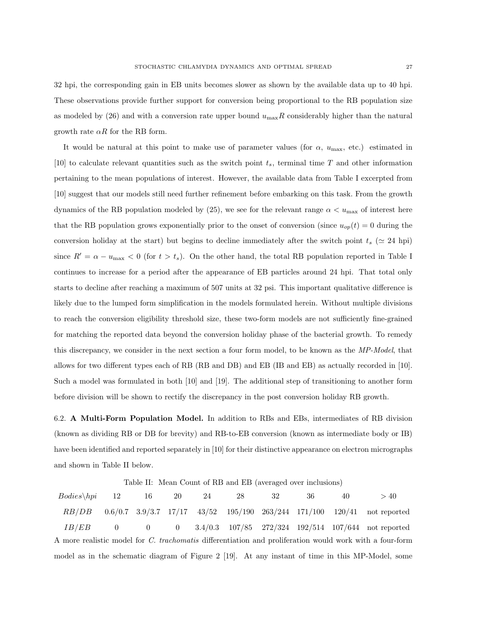32 hpi, the corresponding gain in EB units becomes slower as shown by the available data up to 40 hpi. These observations provide further support for conversion being proportional to the RB population size as modeled by (26) and with a conversion rate upper bound  $u_{\text{max}}R$  considerably higher than the natural growth rate  $\alpha R$  for the RB form.

It would be natural at this point to make use of parameter values (for  $\alpha$ ,  $u_{\text{max}}$ , etc.) estimated in [10] to calculate relevant quantities such as the switch point  $t_s$ , terminal time T and other information pertaining to the mean populations of interest. However, the available data from Table I excerpted from [10] suggest that our models still need further refinement before embarking on this task. From the growth dynamics of the RB population modeled by (25), we see for the relevant range  $\alpha < u_{\text{max}}$  of interest here that the RB population grows exponentially prior to the onset of conversion (since  $u_{op}(t) = 0$  during the conversion holiday at the start) but begins to decline immediately after the switch point  $t_s$  ( $\simeq$  24 hpi) since  $R' = \alpha - u_{\text{max}} < 0$  (for  $t > t_s$ ). On the other hand, the total RB population reported in Table I continues to increase for a period after the appearance of EB particles around 24 hpi. That total only starts to decline after reaching a maximum of 507 units at 32 psi. This important qualitative difference is likely due to the lumped form simplification in the models formulated herein. Without multiple divisions to reach the conversion eligibility threshold size, these two-form models are not sufficiently fine-grained for matching the reported data beyond the conversion holiday phase of the bacterial growth. To remedy this discrepancy, we consider in the next section a four form model, to be known as the MP-Model, that allows for two different types each of RB (RB and DB) and EB (IB and EB) as actually recorded in [10]. Such a model was formulated in both [10] and [19]. The additional step of transitioning to another form before division will be shown to rectify the discrepancy in the post conversion holiday RB growth.

6.2. A Multi-Form Population Model. In addition to RBs and EBs, intermediates of RB division (known as dividing RB or DB for brevity) and RB-to-EB conversion (known as intermediate body or IB) have been identified and reported separately in [10] for their distinctive appearance on electron micrographs and shown in Table II below.

Table II: Mean Count of RB and EB (averaged over inclusions)

| $Bodies\backslash hpi$ 12                                                                               |  | 16 | 20 | 24 | 28 | 32 | 36 | 40 | > 40                                                                                              |
|---------------------------------------------------------------------------------------------------------|--|----|----|----|----|----|----|----|---------------------------------------------------------------------------------------------------|
| RB/DB                                                                                                   |  |    |    |    |    |    |    |    | $0.6/0.7$ 3.9/3.7 $17/17$ 43/52 195/190 263/244 171/100 120/41 not reported                       |
| IB/EB                                                                                                   |  |    |    |    |    |    |    |    | 0 0 0 3.4/0.3 107/85 272/324 192/514 107/644 not reported                                         |
| A more realistic model for C. trachomatis differentiation and proliferation would work with a four-form |  |    |    |    |    |    |    |    |                                                                                                   |
|                                                                                                         |  |    |    |    |    |    |    |    | model as in the schematic diagram of Figure 2 [19]. At any instant of time in this MP-Model, some |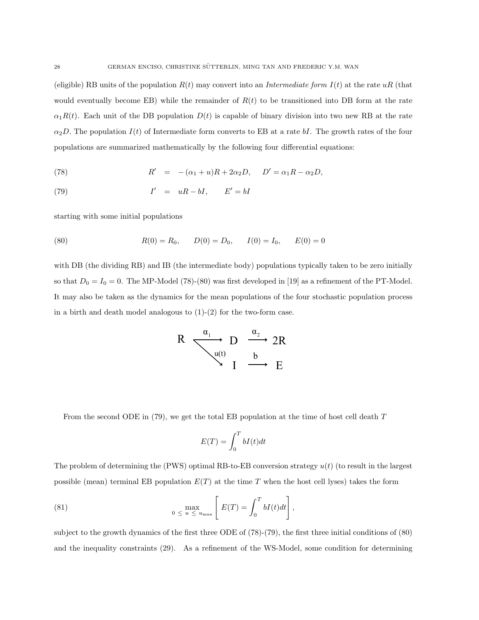(eligible) RB units of the population  $R(t)$  may convert into an *Intermediate form I(t)* at the rate uR (that would eventually become EB) while the remainder of  $R(t)$  to be transitioned into DB form at the rate  $\alpha_1R(t)$ . Each unit of the DB population  $D(t)$  is capable of binary division into two new RB at the rate  $\alpha_2D$ . The population  $I(t)$  of Intermediate form converts to EB at a rate bI. The growth rates of the four populations are summarized mathematically by the following four differential equations:

(78) 
$$
R' = -(\alpha_1 + u)R + 2\alpha_2 D, \quad D' = \alpha_1 R - \alpha_2 D,
$$

$$
(79) \tI' = uR - bI, \tE' = bI
$$

starting with some initial populations

(80) 
$$
R(0) = R_0
$$
,  $D(0) = D_0$ ,  $I(0) = I_0$ ,  $E(0) = 0$ 

with DB (the dividing RB) and IB (the intermediate body) populations typically taken to be zero initially so that  $D_0 = I_0 = 0$ . The MP-Model (78)-(80) was first developed in [19] as a refinement of the PT-Model. It may also be taken as the dynamics for the mean populations of the four stochastic population process in a birth and death model analogous to  $(1)-(2)$  for the two-form case.

$$
R \xrightarrow{\alpha_1} D \xrightarrow{\alpha_2} 2R
$$
  
\n
$$
\begin{array}{c}\n\downarrow u(t) \\
\downarrow u(t) \\
I \xrightarrow{\alpha_2} E\n\end{array}
$$

From the second ODE in  $(79)$ , we get the total EB population at the time of host cell death T

$$
E(T) = \int_0^T bI(t)dt
$$

The problem of determining the (PWS) optimal RB-to-EB conversion strategy  $u(t)$  (to result in the largest possible (mean) terminal EB population  $E(T)$  at the time T when the host cell lyses) takes the form

(81) 
$$
0 \le u \le u_{\max} \left[ E(T) = \int_0^T bI(t)dt \right],
$$

subject to the growth dynamics of the first three ODE of (78)-(79), the first three initial conditions of (80) and the inequality constraints (29). As a refinement of the WS-Model, some condition for determining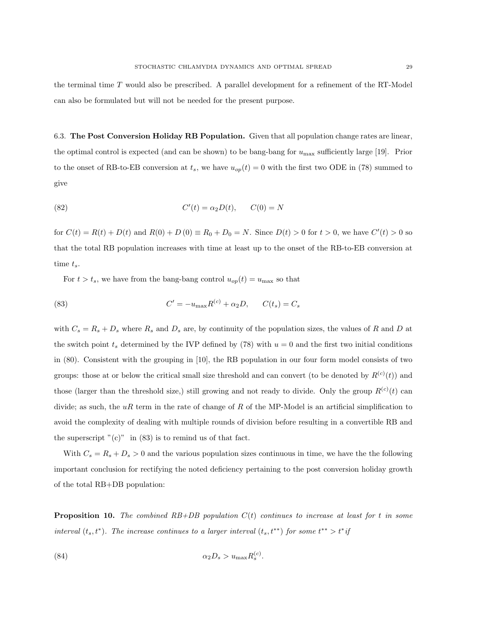the terminal time T would also be prescribed. A parallel development for a refinement of the RT-Model can also be formulated but will not be needed for the present purpose.

6.3. The Post Conversion Holiday RB Population. Given that all population change rates are linear, the optimal control is expected (and can be shown) to be bang-bang for  $u_{\text{max}}$  sufficiently large [19]. Prior to the onset of RB-to-EB conversion at  $t_s$ , we have  $u_{op}(t) = 0$  with the first two ODE in (78) summed to give

(82) 
$$
C'(t) = \alpha_2 D(t), \qquad C(0) = N
$$

for  $C(t) = R(t) + D(t)$  and  $R(0) + D(0) \equiv R_0 + D_0 = N$ . Since  $D(t) > 0$  for  $t > 0$ , we have  $C'(t) > 0$  so that the total RB population increases with time at least up to the onset of the RB-to-EB conversion at time  $t_s$ .

For  $t > t_s$ , we have from the bang-bang control  $u_{op}(t) = u_{\text{max}}$  so that

(83) 
$$
C' = -u_{\text{max}} R^{(c)} + \alpha_2 D, \qquad C(t_s) = C_s
$$

with  $C_s = R_s + D_s$  where  $R_s$  and  $D_s$  are, by continuity of the population sizes, the values of R and D at the switch point  $t_s$  determined by the IVP defined by (78) with  $u = 0$  and the first two initial conditions in (80). Consistent with the grouping in [10], the RB population in our four form model consists of two groups: those at or below the critical small size threshold and can convert (to be denoted by  $R^{(c)}(t)$ ) and those (larger than the threshold size,) still growing and not ready to divide. Only the group  $R^{(c)}(t)$  can divide; as such, the uR term in the rate of change of R of the MP-Model is an artificial simplification to avoid the complexity of dealing with multiple rounds of division before resulting in a convertible RB and the superscript  $"(c)"$  in (83) is to remind us of that fact.

With  $C_s = R_s + D_s > 0$  and the various population sizes continuous in time, we have the the following important conclusion for rectifying the noted deficiency pertaining to the post conversion holiday growth of the total RB+DB population:

**Proposition 10.** The combined  $RB+DB$  population  $C(t)$  continues to increase at least for t in some interval  $(t_s, t^*)$ . The increase continues to a larger interval  $(t_s, t^{**})$  for some  $t^{**} > t^*$ if

$$
\alpha_2 D_s > u_{\text{max}} R_s^{(c)}.
$$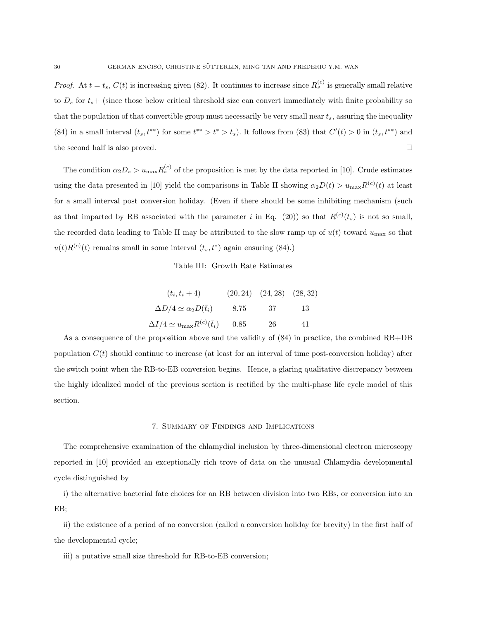*Proof.* At  $t = t_s$ ,  $C(t)$  is increasing given (82). It continues to increase since  $R_s^{(c)}$  is generally small relative to  $D_s$  for  $t_s+$  (since those below critical threshold size can convert immediately with finite probability so that the population of that convertible group must necessarily be very small near  $t_s$ , assuring the inequality (84) in a small interval  $(t_s, t^{**})$  for some  $t^{**} > t^* > t_s$ ). It follows from (83) that  $C'(t) > 0$  in  $(t_s, t^{**})$  and the second half is also proved.

The condition  $\alpha_2 D_s > u_{\text{max}} R_s^{(c)}$  of the proposition is met by the data reported in [10]. Crude estimates using the data presented in [10] yield the comparisons in Table II showing  $\alpha_2 D(t) > u_{\text{max}} R^{(c)}(t)$  at least for a small interval post conversion holiday. (Even if there should be some inhibiting mechanism (such as that imparted by RB associated with the parameter i in Eq. (20)) so that  $R^{(c)}(t_s)$  is not so small, the recorded data leading to Table II may be attributed to the slow ramp up of  $u(t)$  toward  $u_{\text{max}}$  so that  $u(t)R^{(c)}(t)$  remains small in some interval  $(t_s, t^*)$  again ensuring (84).)

Table III: Growth Rate Estimates

| $(t_i, t_i + 4)$                                      |      | $(20, 24)$ $(24, 28)$ $(28, 32)$ |    |
|-------------------------------------------------------|------|----------------------------------|----|
| $\Delta D/4 \simeq \alpha_2 D(\bar{t}_i)$             | 8.75 | - 37                             | 13 |
| $\Delta I/4 \simeq u_{\text{max}} R^{(c)}(\bar{t}_i)$ | 0.85 | -26                              | 41 |

As a consequence of the proposition above and the validity of (84) in practice, the combined RB+DB population  $C(t)$  should continue to increase (at least for an interval of time post-conversion holiday) after the switch point when the RB-to-EB conversion begins. Hence, a glaring qualitative discrepancy between the highly idealized model of the previous section is rectified by the multi-phase life cycle model of this section.

### 7. Summary of Findings and Implications

The comprehensive examination of the chlamydial inclusion by three-dimensional electron microscopy reported in [10] provided an exceptionally rich trove of data on the unusual Chlamydia developmental cycle distinguished by

i) the alternative bacterial fate choices for an RB between division into two RBs, or conversion into an EB;

ii) the existence of a period of no conversion (called a conversion holiday for brevity) in the first half of the developmental cycle;

iii) a putative small size threshold for RB-to-EB conversion;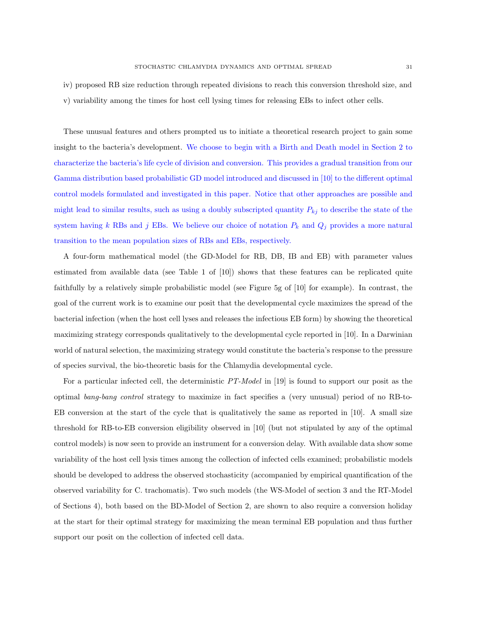iv) proposed RB size reduction through repeated divisions to reach this conversion threshold size, and

v) variability among the times for host cell lysing times for releasing EBs to infect other cells.

These unusual features and others prompted us to initiate a theoretical research project to gain some insight to the bacteria's development. We choose to begin with a Birth and Death model in Section 2 to characterize the bacteria's life cycle of division and conversion. This provides a gradual transition from our Gamma distribution based probabilistic GD model introduced and discussed in [10] to the different optimal control models formulated and investigated in this paper. Notice that other approaches are possible and might lead to similar results, such as using a doubly subscripted quantity  $P_{ki}$  to describe the state of the system having k RBs and j EBs. We believe our choice of notation  $P_k$  and  $Q_j$  provides a more natural transition to the mean population sizes of RBs and EBs, respectively.

A four-form mathematical model (the GD-Model for RB, DB, IB and EB) with parameter values estimated from available data (see Table 1 of [10]) shows that these features can be replicated quite faithfully by a relatively simple probabilistic model (see Figure 5g of [10] for example). In contrast, the goal of the current work is to examine our posit that the developmental cycle maximizes the spread of the bacterial infection (when the host cell lyses and releases the infectious EB form) by showing the theoretical maximizing strategy corresponds qualitatively to the developmental cycle reported in [10]. In a Darwinian world of natural selection, the maximizing strategy would constitute the bacteria's response to the pressure of species survival, the bio-theoretic basis for the Chlamydia developmental cycle.

For a particular infected cell, the deterministic PT-Model in [19] is found to support our posit as the optimal bang-bang control strategy to maximize in fact specifies a (very unusual) period of no RB-to-EB conversion at the start of the cycle that is qualitatively the same as reported in [10]. A small size threshold for RB-to-EB conversion eligibility observed in [10] (but not stipulated by any of the optimal control models) is now seen to provide an instrument for a conversion delay. With available data show some variability of the host cell lysis times among the collection of infected cells examined; probabilistic models should be developed to address the observed stochasticity (accompanied by empirical quantification of the observed variability for C. trachomatis). Two such models (the WS-Model of section 3 and the RT-Model of Sections 4), both based on the BD-Model of Section 2, are shown to also require a conversion holiday at the start for their optimal strategy for maximizing the mean terminal EB population and thus further support our posit on the collection of infected cell data.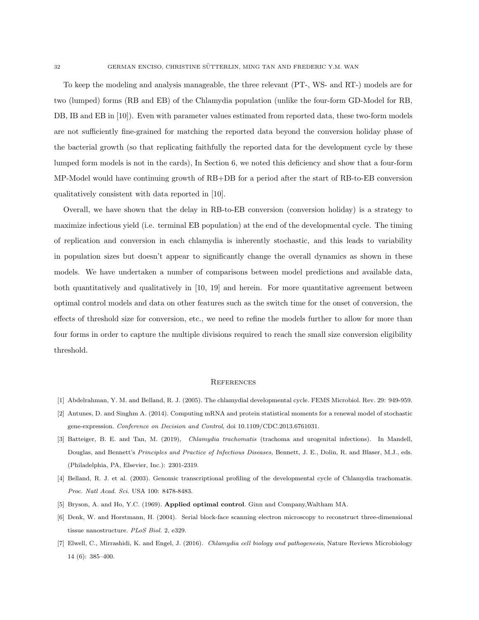To keep the modeling and analysis manageable, the three relevant (PT-, WS- and RT-) models are for two (lumped) forms (RB and EB) of the Chlamydia population (unlike the four-form GD-Model for RB, DB, IB and EB in [10]). Even with parameter values estimated from reported data, these two-form models are not sufficiently fine-grained for matching the reported data beyond the conversion holiday phase of the bacterial growth (so that replicating faithfully the reported data for the development cycle by these lumped form models is not in the cards), In Section 6, we noted this deficiency and show that a four-form MP-Model would have continuing growth of RB+DB for a period after the start of RB-to-EB conversion qualitatively consistent with data reported in [10].

Overall, we have shown that the delay in RB-to-EB conversion (conversion holiday) is a strategy to maximize infectious yield (i.e. terminal EB population) at the end of the developmental cycle. The timing of replication and conversion in each chlamydia is inherently stochastic, and this leads to variability in population sizes but doesn't appear to significantly change the overall dynamics as shown in these models. We have undertaken a number of comparisons between model predictions and available data, both quantitatively and qualitatively in [10, 19] and herein. For more quantitative agreement between optimal control models and data on other features such as the switch time for the onset of conversion, the effects of threshold size for conversion, etc., we need to refine the models further to allow for more than four forms in order to capture the multiple divisions required to reach the small size conversion eligibility threshold.

#### **REFERENCES**

- [1] Abdelrahman, Y. M. and Belland, R. J. (2005). The chlamydial developmental cycle. FEMS Microbiol. Rev. 29: 949-959.
- [2] Antunes, D. and Singhm A. (2014). Computing mRNA and protein statistical moments for a renewal model of stochastic gene-expression. Conference on Decision and Control, doi 10.1109/CDC.2013.6761031.
- [3] Batteiger, B. E. and Tan, M. (2019), Chlamydia trachomatis (trachoma and urogenital infections). In Mandell, Douglas, and Bennett's Principles and Practice of Infectious Diseases, Bennett, J. E., Dolin, R. and Blaser, M.J., eds. (Philadelphia, PA, Elsevier, Inc.): 2301-2319.
- [4] Belland, R. J. et al. (2003). Genomic transcriptional profiling of the developmental cycle of Chlamydia trachomatis. Proc. Natl Acad. Sci. USA 100: 8478-8483.
- [5] Bryson, A. and Ho, Y.C. (1969). Applied optimal control. Ginn and Company,Waltham MA.
- [6] Denk, W. and Horstmann, H. (2004). Serial block-face scanning electron microscopy to reconstruct three-dimensional tissue nanostructure. PLoS Biol. 2, e329.
- [7] Elwell, C., Mirrashidi, K. and Engel, J. (2016). Chlamydia cell biology and pathogenesis, Nature Reviews Microbiology 14 (6): 385–400.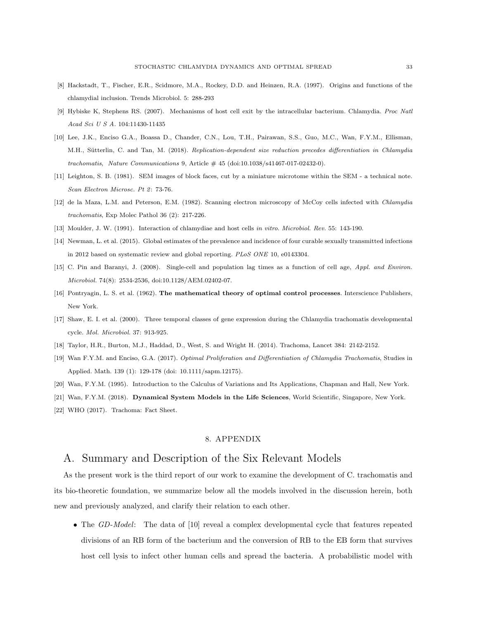- [8] Hackstadt, T., Fischer, E.R., Scidmore, M.A., Rockey, D.D. and Heinzen, R.A. (1997). Origins and functions of the chlamydial inclusion. Trends Microbiol. 5: 288-293
- [9] Hybiske K, Stephens RS. (2007). Mechanisms of host cell exit by the intracellular bacterium. Chlamydia. Proc Natl Acad Sci U S A. 104:11430-11435
- [10] Lee, J.K., Enciso G.A., Boassa D., Chander, C.N., Lou, T.H., Pairawan, S.S., Guo, M.C., Wan, F.Y.M., Ellisman, M.H., Sütterlin, C. and Tan, M. (2018). Replication-dependent size reduction precedes differentiation in Chlamydia trachomatis, Nature Communications 9, Article # 45 (doi:10.1038/s41467-017-02432-0).
- [11] Leighton, S. B. (1981). SEM images of block faces, cut by a miniature microtome within the SEM a technical note. Scan Electron Microsc. Pt 2: 73-76.
- [12] de la Maza, L.M. and Peterson, E.M. (1982). Scanning electron microscopy of McCoy cells infected with Chlamydia trachomatis, Exp Molec Pathol 36 (2): 217-226.
- [13] Moulder, J. W. (1991). Interaction of chlamydiae and host cells in vitro. Microbiol. Rev. 55: 143-190.
- [14] Newman, L. et al. (2015). Global estimates of the prevalence and incidence of four curable sexually transmitted infections in 2012 based on systematic review and global reporting. PLoS ONE 10, e0143304.
- [15] C. Pin and Baranyi, J. (2008). Single-cell and population lag times as a function of cell age, Appl. and Environ. Microbiol. 74(8): 2534-2536, doi:10.1128/AEM.02402-07.
- [16] Pontryagin, L. S. et al. (1962). The mathematical theory of optimal control processes. Interscience Publishers, New York.
- [17] Shaw, E. I. et al. (2000). Three temporal classes of gene expression during the Chlamydia trachomatis developmental cycle. Mol. Microbiol. 37: 913-925.
- [18] Taylor, H.R., Burton, M.J., Haddad, D., West, S. and Wright H. (2014). Trachoma, Lancet 384: 2142-2152.
- [19] Wan F.Y.M. and Enciso, G.A. (2017). Optimal Proliferation and Differentiation of Chlamydia Trachomatis, Studies in Applied. Math. 139 (1): 129-178 (doi: 10.1111/sapm.12175).
- [20] Wan, F.Y.M. (1995). Introduction to the Calculus of Variations and Its Applications, Chapman and Hall, New York.
- [21] Wan, F.Y.M. (2018). Dynamical System Models in the Life Sciences, World Scientific, Singapore, New York.
- [22] WHO (2017). Trachoma: Fact Sheet.

### 8. APPENDIX

# A. Summary and Description of the Six Relevant Models

As the present work is the third report of our work to examine the development of C. trachomatis and its bio-theoretic foundation, we summarize below all the models involved in the discussion herein, both new and previously analyzed, and clarify their relation to each other.

• The GD-Model: The data of [10] reveal a complex developmental cycle that features repeated divisions of an RB form of the bacterium and the conversion of RB to the EB form that survives host cell lysis to infect other human cells and spread the bacteria. A probabilistic model with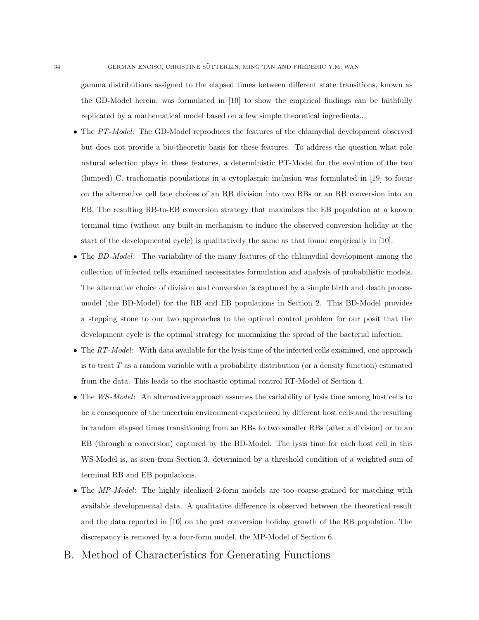gamma distributions assigned to the elapsed times between different state transitions, known as the GD-Model herein, was formulated in [10] to show the empirical findings can be faithfully replicated by a mathematical model based on a few simple theoretical ingredients..

- The PT-Model: The GD-Model reproduces the features of the chlamydial development observed but does not provide a bio-theoretic basis for these features. To address the question what role natural selection plays in these features, a deterministic PT-Model for the evolution of the two (lumped) C. trachomatis populations in a cytoplasmic inclusion was formulated in [19] to focus on the alternative cell fate choices of an RB division into two RBs or an RB conversion into an EB. The resulting RB-to-EB conversion strategy that maximizes the EB population at a known terminal time (without any built-in mechanism to induce the observed conversion holiday at the start of the developmental cycle) is qualitatively the same as that found empirically in [10].
- The BD-Model: The variability of the many features of the chlamydial development among the collection of infected cells examined necessitates formulation and analysis of probabilistic models. The alternative choice of division and conversion is captured by a simple birth and death process model (the BD-Model) for the RB and EB populations in Section 2. This BD-Model provides a stepping stone to our two approaches to the optimal control problem for our posit that the development cycle is the optimal strategy for maximizing the spread of the bacterial infection.
- The RT-Model: With data available for the lysis time of the infected cells examined, one approach is to treat  $T$  as a random variable with a probability distribution (or a density function) estimated from the data. This leads to the stochastic optimal control RT-Model of Section 4.
- The WS-Model: An alternative approach assumes the variability of lysis time among host cells to be a consequence of the uncertain environment experienced by different host cells and the resulting in random elapsed times transitioning from an RBs to two smaller RBs (after a division) or to an EB (through a conversion) captured by the BD-Model. The lysis time for each host cell in this WS-Model is, as seen from Section 3, determined by a threshold condition of a weighted sum of terminal RB and EB populations.
- The MP-Model: The highly idealized 2-form models are too coarse-grained for matching with available developmental data. A qualitative difference is observed between the theoretical result and the data reported in [10] on the post conversion holiday growth of the RB population. The discrepancy is removed by a four-form model, the MP-Model of Section 6..
- B. Method of Characteristics for Generating Functions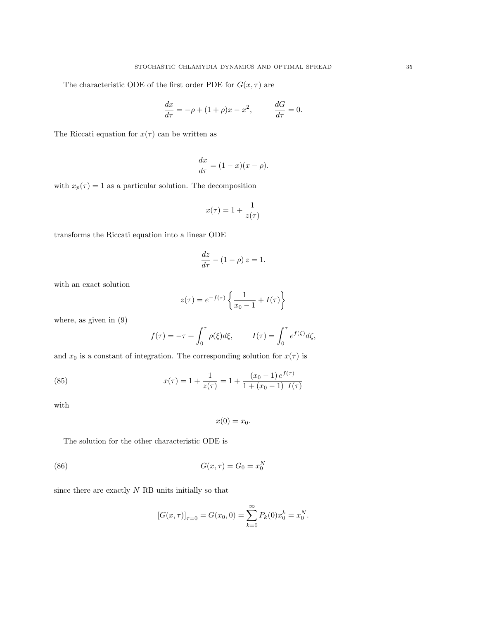The characteristic ODE of the first order PDE for  $G(x, \tau)$  are

$$
\frac{dx}{d\tau} = -\rho + (1+\rho)x - x^2, \qquad \frac{dG}{d\tau} = 0.
$$

The Riccati equation for  $x(\tau)$  can be written as

$$
\frac{dx}{d\tau} = (1 - x)(x - \rho).
$$

with  $x_p(\tau) = 1$  as a particular solution. The decomposition

$$
x(\tau) = 1 + \frac{1}{z(\tau)}
$$

transforms the Riccati equation into a linear ODE

$$
\frac{dz}{d\tau} - (1 - \rho) z = 1.
$$

with an exact solution

$$
z(\tau) = e^{-f(\tau)} \left\{ \frac{1}{x_0 - 1} + I(\tau) \right\}
$$

where, as given in (9)

$$
f(\tau) = -\tau + \int_0^{\tau} \rho(\xi) d\xi, \qquad I(\tau) = \int_0^{\tau} e^{f(\zeta)} d\zeta,
$$

and  $x_0$  is a constant of integration. The corresponding solution for  $x(\tau)$  is

(85) 
$$
x(\tau) = 1 + \frac{1}{z(\tau)} = 1 + \frac{(x_0 - 1) e^{f(\tau)}}{1 + (x_0 - 1) I(\tau)}
$$

with

$$
x(0)=x_0.
$$

The solution for the other characteristic ODE is

(86) 
$$
G(x,\tau) = G_0 = x_0^N
$$

since there are exactly  $N$  RB units initially so that

$$
[G(x, \tau)]_{\tau=0} = G(x_0, 0) = \sum_{k=0}^{\infty} P_k(0) x_0^k = x_0^N.
$$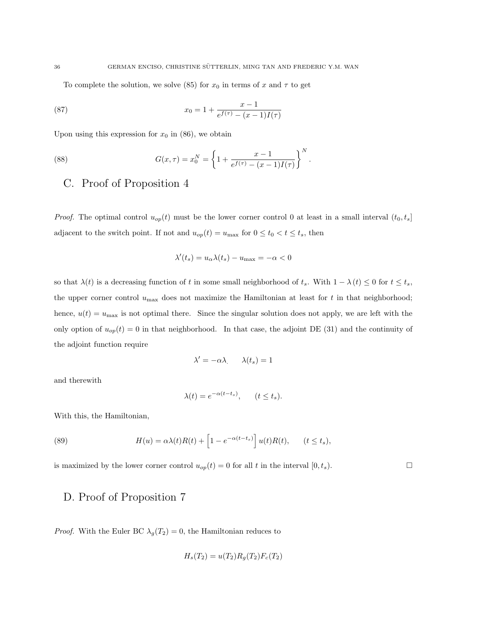To complete the solution, we solve (85) for  $x_0$  in terms of x and  $\tau$  to get

(87) 
$$
x_0 = 1 + \frac{x - 1}{e^{f(\tau)} - (x - 1)I(\tau)}
$$

Upon using this expression for  $x_0$  in (86), we obtain

(88) 
$$
G(x,\tau) = x_0^N = \left\{ 1 + \frac{x-1}{e^{f(\tau)} - (x-1)I(\tau)} \right\}^N.
$$

# C. Proof of Proposition 4

*Proof.* The optimal control  $u_{op}(t)$  must be the lower corner control 0 at least in a small interval  $(t_0, t_s]$ adjacent to the switch point. If not and  $u_{op}(t) = u_{\text{max}}$  for  $0 \le t_0 < t \le t_s$ , then

$$
\lambda'(t_s) = u_\alpha \lambda(t_s) - u_{\text{max}} = -\alpha < 0
$$

so that  $\lambda(t)$  is a decreasing function of t in some small neighborhood of  $t_s$ . With  $1 - \lambda(t) \leq 0$  for  $t \leq t_s$ , the upper corner control  $u_{\text{max}}$  does not maximize the Hamiltonian at least for t in that neighborhood; hence,  $u(t) = u_{\text{max}}$  is not optimal there. Since the singular solution does not apply, we are left with the only option of  $u_{op}(t) = 0$  in that neighborhood. In that case, the adjoint DE (31) and the continuity of the adjoint function require

$$
\lambda' = -\alpha \lambda \qquad \lambda(t_s) = 1
$$

and therewith

$$
\lambda(t) = e^{-\alpha(t - t_s)}, \qquad (t \le t_s).
$$

With this, the Hamiltonian,

(89) 
$$
H(u) = \alpha \lambda(t) R(t) + \left[1 - e^{-\alpha(t - t_s)}\right] u(t) R(t), \qquad (t \le t_s),
$$

is maximized by the lower corner control  $u_{op}(t) = 0$  for all t in the interval  $[0, t_s)$ .

# D. Proof of Proposition 7

*Proof.* With the Euler BC  $\lambda_g(T_2) = 0$ , the Hamiltonian reduces to

$$
H_s(T_2) = u(T_2)R_g(T_2)F_c(T_2)
$$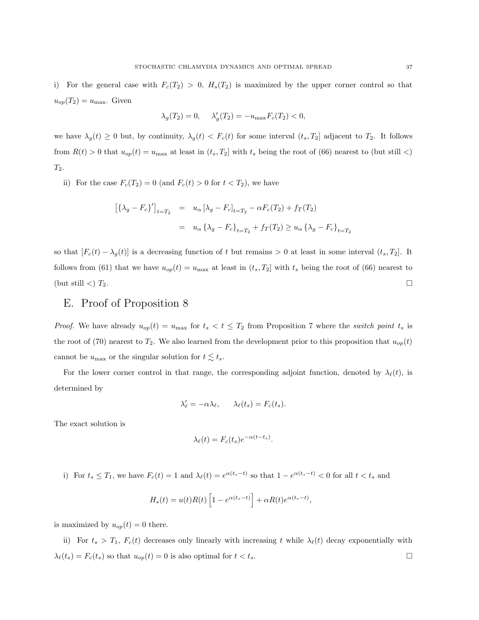i) For the general case with  $F_c(T_2) > 0$ ,  $H_s(T_2)$  is maximized by the upper corner control so that  $u_{op}(T_2) = u_{\text{max}}$ . Given

$$
\lambda_g(T_2) = 0, \quad \lambda'_g(T_2) = -u_{\text{max}} F_c(T_2) < 0,
$$

we have  $\lambda_g(t) \geq 0$  but, by continuity,  $\lambda_g(t) < F_c(t)$  for some interval  $(t_s, T_2]$  adjacent to  $T_2$ . It follows from  $R(t) > 0$  that  $u_{op}(t) = u_{max}$  at least in  $(t_s, T_2]$  with  $t_s$  being the root of (66) nearest to (but still <)  $\mathcal{T}_2.$ 

ii) For the case  $F_c(T_2) = 0$  (and  $F_c(t) > 0$  for  $t < T_2$ ), we have

$$
[\{\lambda_g - F_c\}']_{t=T_2} = u_{\alpha} [\lambda_g - F_c]_{t=T_2} - \alpha F_c(T_2) + f_T(T_2)
$$
  

$$
= u_{\alpha} {\{\lambda_g - F_c\}}_{t=T_2} + f_T(T_2) \ge u_{\alpha} {\{\lambda_g - F_c\}}_{t=T_2}
$$

so that  $[F_c(t) - \lambda_g(t)]$  is a decreasing function of t but remains > 0 at least in some interval  $(t_s, T_2]$ . It follows from (61) that we have  $u_{op}(t) = u_{max}$  at least in  $(t_s, T_2]$  with  $t_s$  being the root of (66) nearest to (but still  $\langle$ )  $T_2$ .

# E. Proof of Proposition 8

*Proof.* We have already  $u_{op}(t) = u_{max}$  for  $t_s < t \leq T_2$  from Proposition 7 where the *switch point*  $t_s$  is the root of (70) nearest to  $T_2$ . We also learned from the development prior to this proposition that  $u_{op}(t)$ cannot be  $u_{\text{max}}$  or the singular solution for  $t \lesssim t_s$ .

For the lower corner control in that range, the corresponding adjoint function, denoted by  $\lambda_{\ell}(t)$ , is determined by

$$
\lambda'_{\ell} = -\alpha \lambda_{\ell}, \qquad \lambda_{\ell}(t_s) = F_c(t_s).
$$

The exact solution is

$$
\lambda_{\ell}(t) = F_c(t_s)e^{-\alpha(t - t_s)}.
$$

i) For  $t_s \leq T_1$ , we have  $F_c(t) = 1$  and  $\lambda_{\ell}(t) = e^{\alpha(t_s - t)}$  so that  $1 - e^{\alpha(t_s - t)} < 0$  for all  $t < t_s$  and

$$
H_s(t) = u(t)R(t)\left[1 - e^{\alpha(t_s - t)}\right] + \alpha R(t)e^{\alpha(t_s - t)},
$$

is maximized by  $u_{op}(t) = 0$  there.

ii) For  $t_s > T_1$ ,  $F_c(t)$  decreases only linearly with increasing t while  $\lambda_{\ell}(t)$  decay exponentially with  $\lambda_{\ell}(t_s) = F_c(t_s)$  so that  $u_{op}(t) = 0$  is also optimal for  $t < t_s$ .